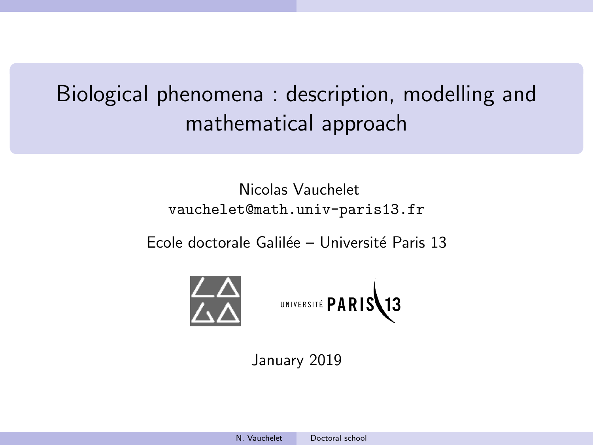# <span id="page-0-0"></span>Biological phenomena : description, modelling and mathematical approach

# Nicolas Vauchelet vauchelet@math.univ-paris13.fr

Ecole doctorale Galilée – Université Paris 13



UNIVERSITÉ PARIS13

January 2019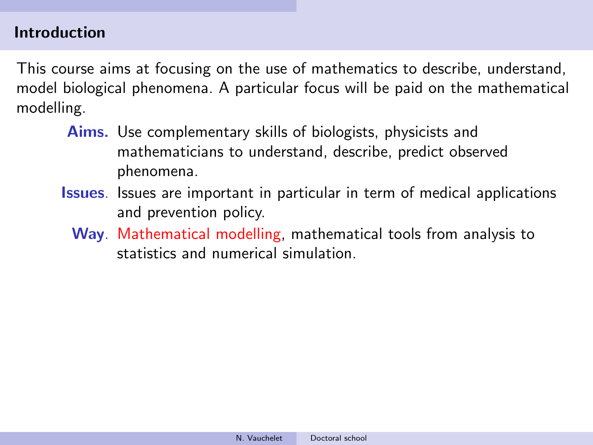#### Introduction

This course aims at focusing on the use of mathematics to describe, understand, model biological phenomena. A particular focus will be paid on the mathematical modelling.

- Aims. Use complementary skills of biologists, physicists and mathematicians to understand, describe, predict observed phenomena.
- Issues. Issues are important in particular in term of medical applications and prevention policy.
	- Way. Mathematical modelling, mathematical tools from analysis to statistics and numerical simulation.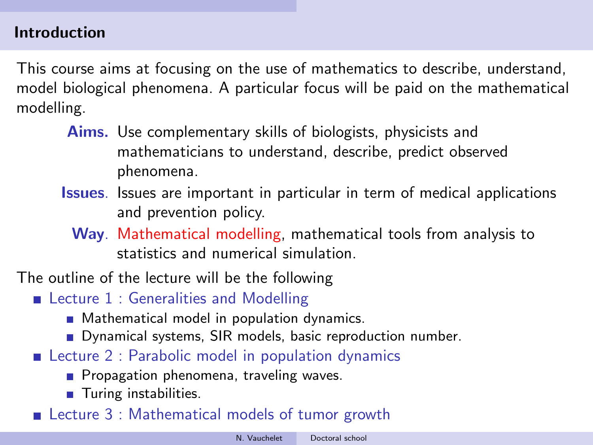### **Introduction**

This course aims at focusing on the use of mathematics to describe, understand, model biological phenomena. A particular focus will be paid on the mathematical modelling.

- Aims. Use complementary skills of biologists, physicists and mathematicians to understand, describe, predict observed phenomena.
- Issues. Issues are important in particular in term of medical applications and prevention policy.
	- Way. Mathematical modelling, mathematical tools from analysis to statistics and numerical simulation.

The outline of the lecture will be the following

- Lecture 1 : Generalities and Modelling
	- **Mathematical model in population dynamics.**
	- Dynamical systems, SIR models, basic reproduction number.
- Lecture 2 : Parabolic model in population dynamics
	- **Propagation phenomena, traveling waves.**
	- **Turing instabilities.**
- Lecture 3 : Mathematical models of tumor growth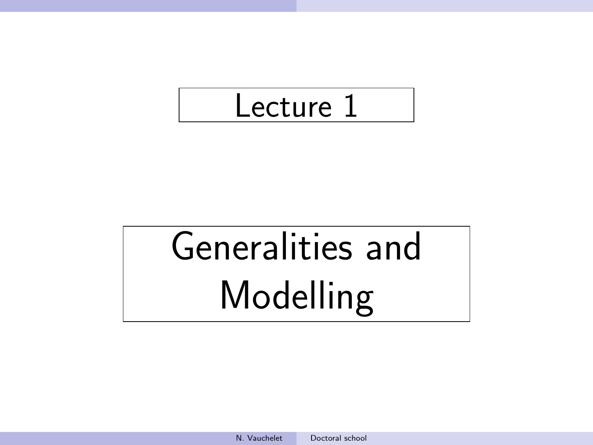# Lecture 1

# Generalities and Modelling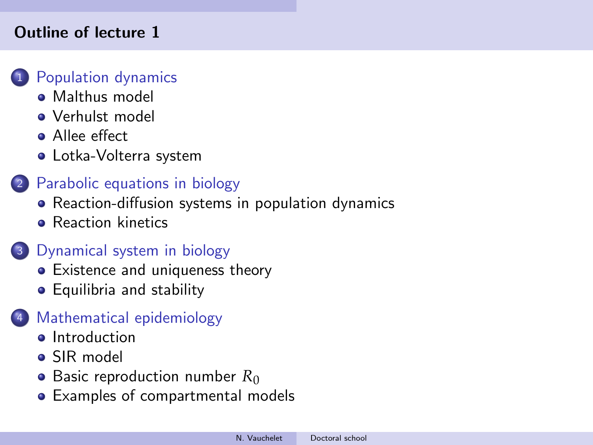#### Outline of lecture 1

#### **[Population dynamics](#page-5-0)**

- [Malthus model](#page-7-0)
- [Verhulst model](#page-17-0)
- **•** [Allee effect](#page-26-0)
- [Lotka-Volterra system](#page-30-0)

# <sup>2</sup> [Parabolic equations in biology](#page-36-0)

- [Reaction-diffusion systems in population dynamics](#page-36-0)
- **[Reaction kinetics](#page-44-0)**

# <sup>3</sup> [Dynamical system in biology](#page-57-0)

- [Existence and uniqueness theory](#page-57-0)
- [Equilibria and stability](#page-67-0)

# <sup>4</sup> [Mathematical epidemiology](#page-81-0)

- **o** [Introduction](#page-81-0)
- [SIR model](#page-83-0)
- [Basic reproduction number](#page-91-0)  $R_0$
- [Examples of compartmental models](#page-102-0)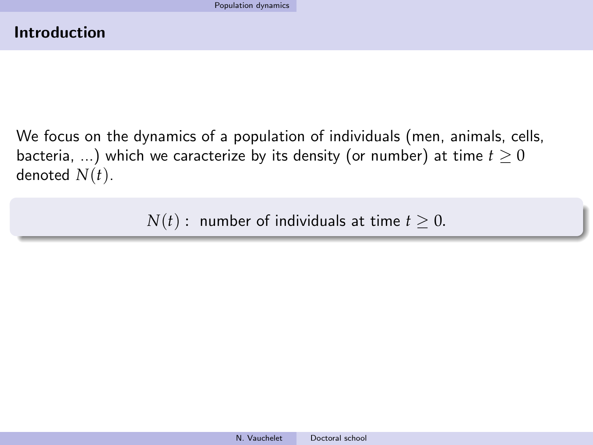<span id="page-5-0"></span>We focus on the dynamics of a population of individuals (men, animals, cells, bacteria, ...) which we caracterize by its density (or number) at time  $t \geq 0$ denoted  $N(t)$ .

*N*(*t*) : number of individuals at time  $t \geq 0$ .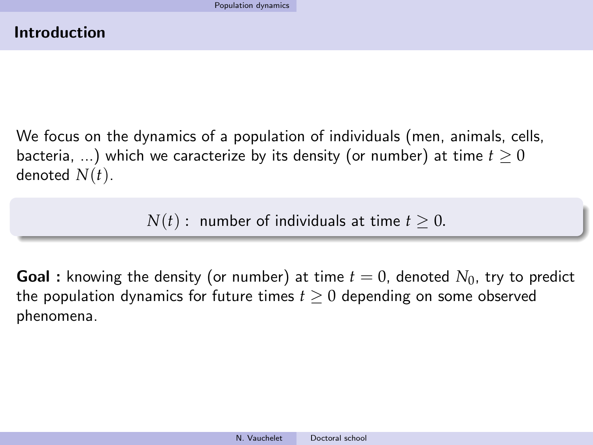We focus on the dynamics of a population of individuals (men, animals, cells, bacteria, ...) which we caracterize by its density (or number) at time  $t > 0$ denoted *N*(*t*).

 $N(t)$ : number of individuals at time  $t > 0$ .

**Goal**: knowing the density (or number) at time  $t = 0$ , denoted  $N_0$ , try to predict the population dynamics for future times  $t > 0$  depending on some observed phenomena.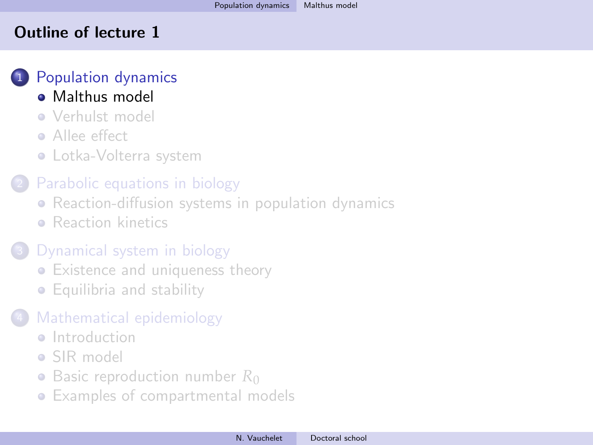#### <span id="page-7-0"></span>Outline of lecture 1

# <sup>1</sup> [Population dynamics](#page-5-0)

- [Malthus model](#page-7-0)
- [Verhulst model](#page-17-0)
- **Allee** effect
- [Lotka-Volterra system](#page-30-0)

# [Parabolic equations in biology](#page-36-0)

- [Reaction-diffusion systems in population dynamics](#page-36-0)
- **[Reaction kinetics](#page-44-0)**

# [Dynamical system in biology](#page-57-0)

- [Existence and uniqueness theory](#page-57-0)
- [Equilibria and stability](#page-67-0)

# [Mathematical epidemiology](#page-81-0)

- **a** [Introduction](#page-81-0)
- [SIR model](#page-83-0)
- [Basic reproduction number](#page-91-0) R<sub>0</sub>
- [Examples of compartmental models](#page-102-0)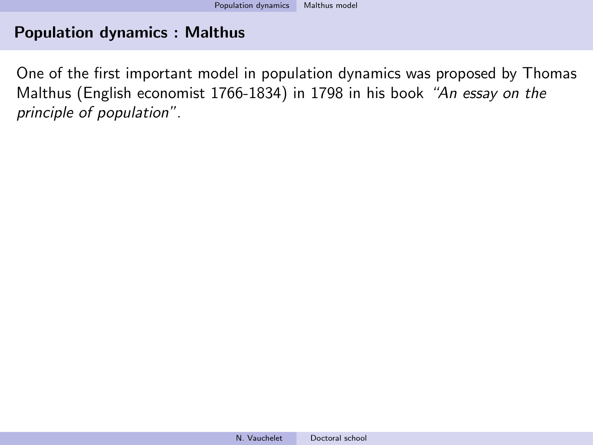One of the first important model in population dynamics was proposed by Thomas Malthus (English economist 1766-1834) in 1798 in his book "An essay on the principle of population".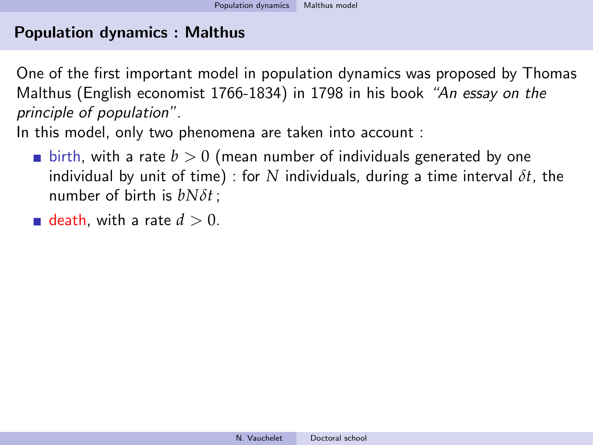One of the first important model in population dynamics was proposed by Thomas Malthus (English economist 1766-1834) in 1798 in his book "An essay on the principle of population".

In this model, only two phenomena are taken into account :

- $\blacksquare$  birth, with a rate  $b > 0$  (mean number of individuals generated by one individual by unit of time) : for *N* individuals, during a time interval *δt*, the number of birth is *bNδt* ;
- death, with a rate  $d > 0$ .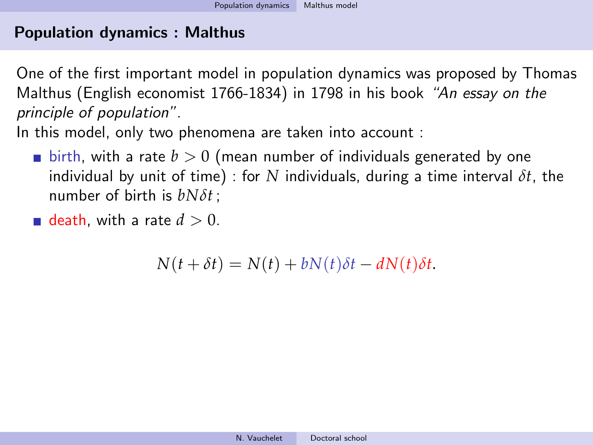One of the first important model in population dynamics was proposed by Thomas Malthus (English economist 1766-1834) in 1798 in his book "An essay on the principle of population".

In this model, only two phenomena are taken into account :

- $\blacksquare$  birth, with a rate  $b > 0$  (mean number of individuals generated by one individual by unit of time) : for *N* individuals, during a time interval *δt*, the number of birth is *bNδt* ;
- **death**, with a rate  $d > 0$ .

 $N(t + \delta t) = N(t) + bN(t)\delta t - dN(t)\delta t$ .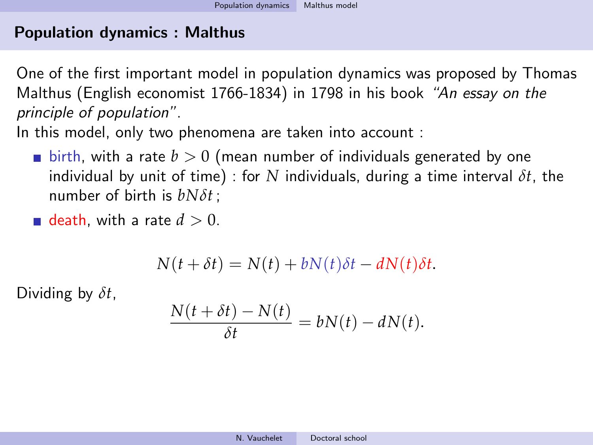One of the first important model in population dynamics was proposed by Thomas Malthus (English economist 1766-1834) in 1798 in his book "An essay on the principle of population".

In this model, only two phenomena are taken into account :

- $\blacksquare$  birth, with a rate  $b > 0$  (mean number of individuals generated by one individual by unit of time) : for *N* individuals, during a time interval *δt*, the number of birth is *bNδt* ;
- death, with a rate  $d > 0$ .

$$
N(t + \delta t) = N(t) + bN(t)\delta t - dN(t)\delta t.
$$

Dividing by *δt*,

$$
\frac{N(t+\delta t)-N(t)}{\delta t}=bN(t)-dN(t).
$$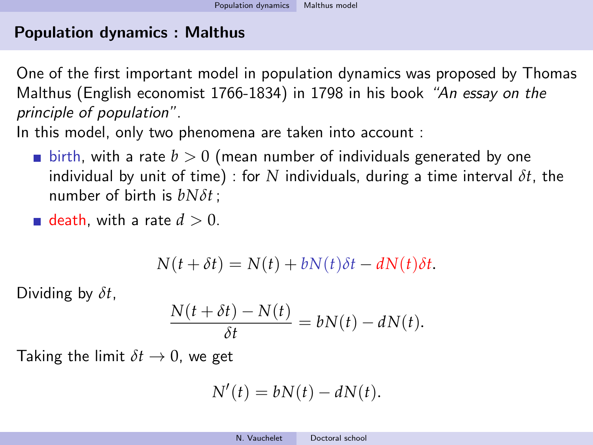One of the first important model in population dynamics was proposed by Thomas Malthus (English economist 1766-1834) in 1798 in his book "An essay on the principle of population".

In this model, only two phenomena are taken into account :

- $\blacksquare$  birth, with a rate  $b > 0$  (mean number of individuals generated by one individual by unit of time) : for *N* individuals, during a time interval *δt*, the number of birth is *bNδt* ;
- death, with a rate  $d > 0$ .

$$
N(t + \delta t) = N(t) + bN(t)\delta t - dN(t)\delta t.
$$

Dividing by *δt*,

$$
\frac{N(t+\delta t)-N(t)}{\delta t}=bN(t)-dN(t).
$$

Taking the limit  $\delta t \rightarrow 0$ , we get

$$
N'(t) = bN(t) - dN(t).
$$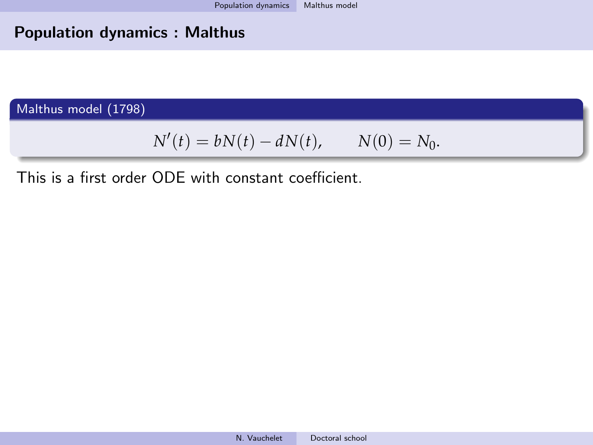Malthus model (1798)

$$
N'(t) = bN(t) - dN(t),
$$
  $N(0) = N_0.$ 

This is a first order ODE with constant coefficient.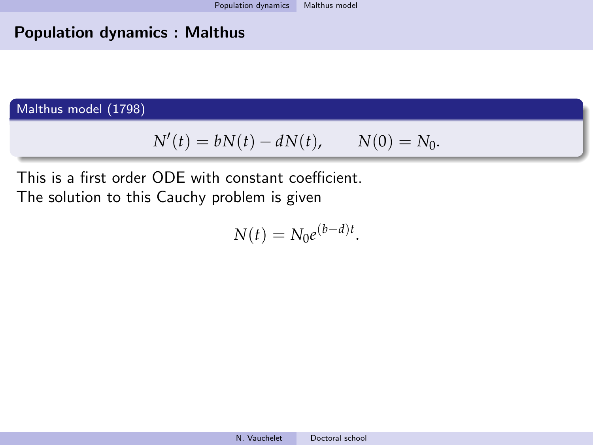Malthus model (1798)

$$
N'(t) = bN(t) - dN(t), \qquad N(0) = N_0.
$$

This is a first order ODE with constant coefficient. The solution to this Cauchy problem is given

$$
N(t) = N_0 e^{(b-d)t}.
$$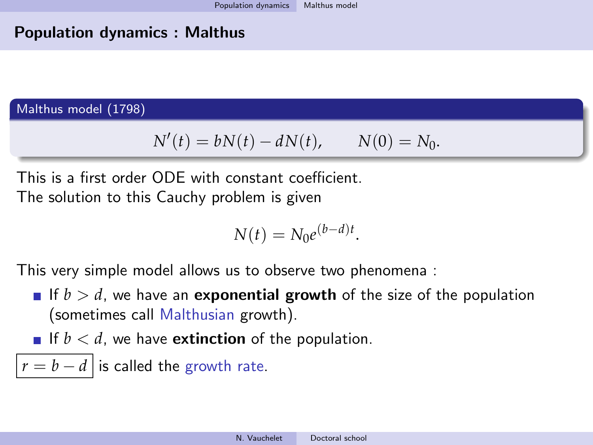Malthus model (1798)

$$
N'(t) = bN(t) - dN(t), \qquad N(0) = N_0.
$$

This is a first order ODE with constant coefficient. The solution to this Cauchy problem is given

$$
N(t) = N_0 e^{(b-d)t}.
$$

This very simple model allows us to observe two phenomena :

- If  $b > d$ , we have an **exponential growth** of the size of the population (sometimes call Malthusian growth).
- If  $b < d$ , we have **extinction** of the population.
- $|r = b d|$  is called the growth rate.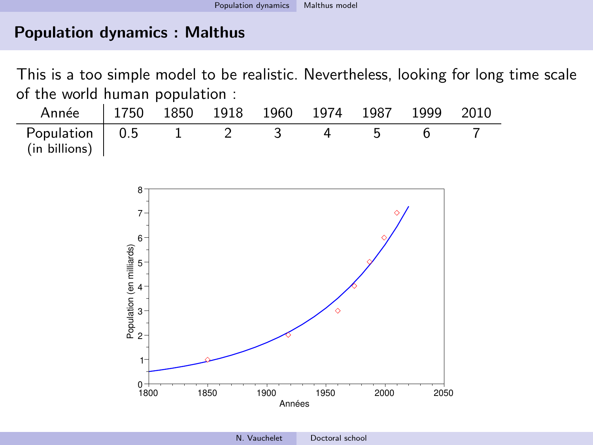This is a too simple model to be realistic. Nevertheless, looking for long time scale of the world human population :

| Année   1750 1850 1918 1960 1974 1987 1999 2010 |  |  |  |  |
|-------------------------------------------------|--|--|--|--|
| Population   0.5<br>$(in\ billion)$             |  |  |  |  |

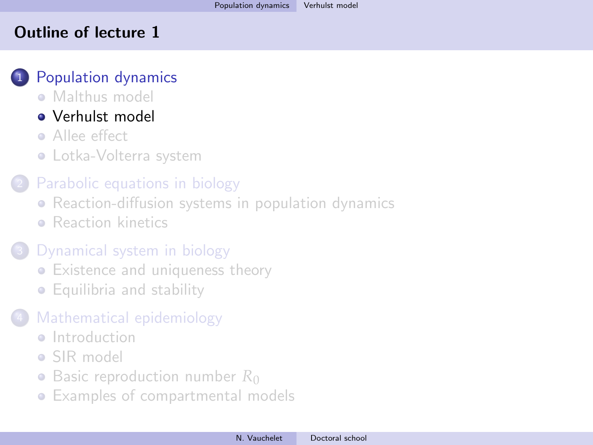#### <span id="page-17-0"></span>Outline of lecture 1

# <sup>1</sup> [Population dynamics](#page-5-0)

**• [Malthus model](#page-7-0)** 

# [Verhulst model](#page-17-0)

- **Allee** effect
- [Lotka-Volterra system](#page-30-0)

# [Parabolic equations in biology](#page-36-0)

- [Reaction-diffusion systems in population dynamics](#page-36-0)
- **[Reaction kinetics](#page-44-0)**

# [Dynamical system in biology](#page-57-0)

- [Existence and uniqueness theory](#page-57-0)
- [Equilibria and stability](#page-67-0)

# [Mathematical epidemiology](#page-81-0)

- **a** [Introduction](#page-81-0)
- [SIR model](#page-83-0)
- [Basic reproduction number](#page-91-0) R<sub>0</sub>
- [Examples of compartmental models](#page-102-0)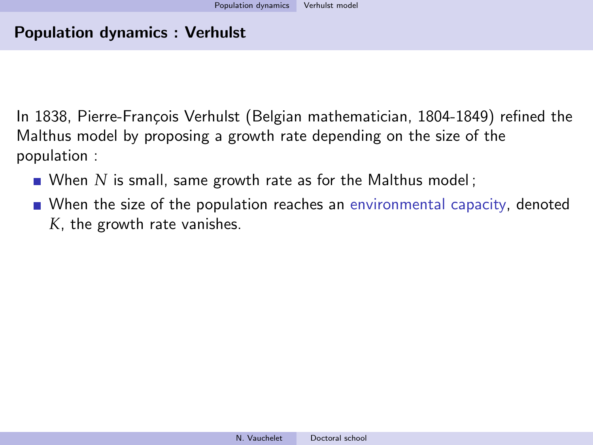In 1838, Pierre-François Verhulst (Belgian mathematician, 1804-1849) refined the Malthus model by proposing a growth rate depending on the size of the population :

- When *N* is small, same growth rate as for the Malthus model;
- When the size of the population reaches an environmental capacity, denoted *K*, the growth rate vanishes.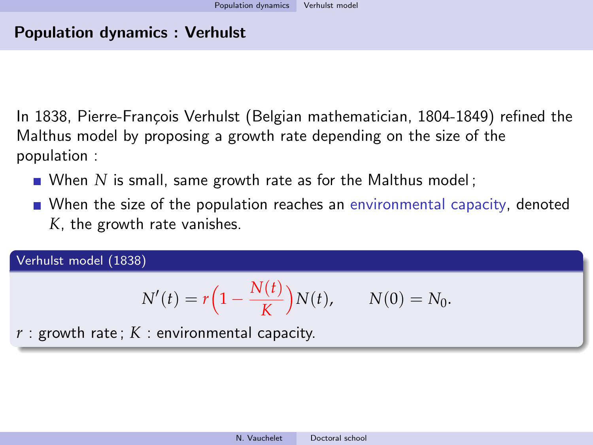In 1838, Pierre-François Verhulst (Belgian mathematician, 1804-1849) refined the Malthus model by proposing a growth rate depending on the size of the population :

- When *N* is small, same growth rate as for the Malthus model;
- When the size of the population reaches an environmental capacity, denoted *K*, the growth rate vanishes.

Verhulst model (1838)

$$
N'(t) = r\left(1 - \frac{N(t)}{K}\right)N(t), \qquad N(0) = N_0.
$$

*r* : growth rate ; *K* : environmental capacity.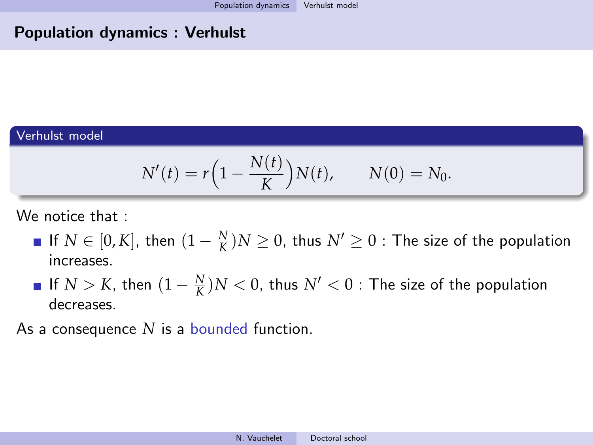#### Population dynamics : Verhulst

#### Verhulst model

$$
N'(t) = r\Big(1 - \frac{N(t)}{K}\Big)N(t), \qquad N(0) = N_0.
$$

We notice that :

- If  $N \in [0, K]$ , then  $(1 \frac{N}{K})N \ge 0$ , thus  $N' \ge 0$  : The size of the population increases.
- If  $N > K$ , then  $(1 \frac{N}{K})N < 0$ , thus  $N' < 0$  : The size of the population decreases.

As a consequence *N* is a bounded function.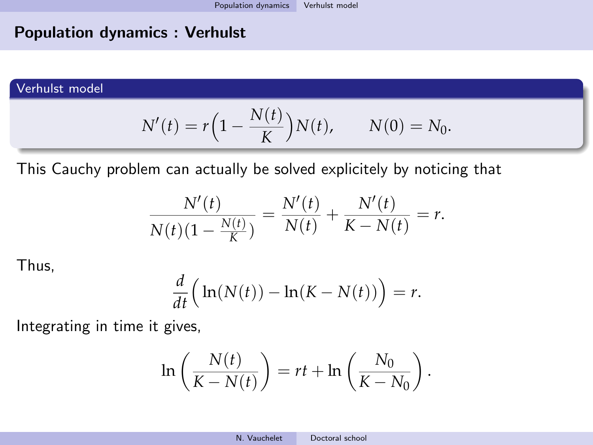#### Population dynamics : Verhulst

#### Verhulst model

$$
N'(t) = r(1 - \frac{N(t)}{K})N(t), \qquad N(0) = N_0.
$$

This Cauchy problem can actually be solved explicitely by noticing that

$$
\frac{N'(t)}{N(t)(1-\frac{N(t)}{K})} = \frac{N'(t)}{N(t)} + \frac{N'(t)}{K-N(t)} = r.
$$

Thus,

$$
\frac{d}{dt}\Big(\ln(N(t)) - \ln(K - N(t))\Big) = r.
$$

Integrating in time it gives,

$$
\ln\left(\frac{N(t)}{K-N(t)}\right) = rt + \ln\left(\frac{N_0}{K-N_0}\right).
$$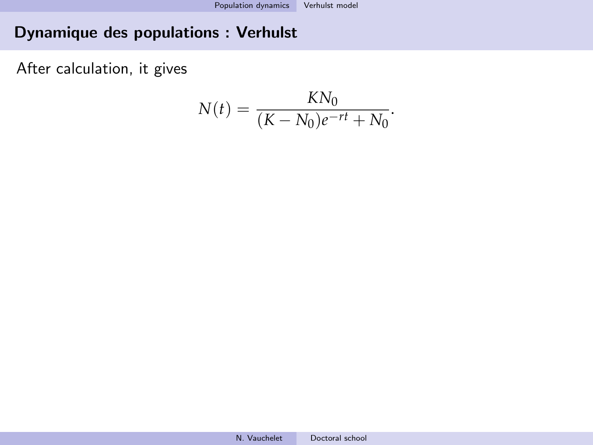# Dynamique des populations : Verhulst

After calculation, it gives

$$
N(t) = \frac{KN_0}{(K - N_0)e^{-rt} + N_0}.
$$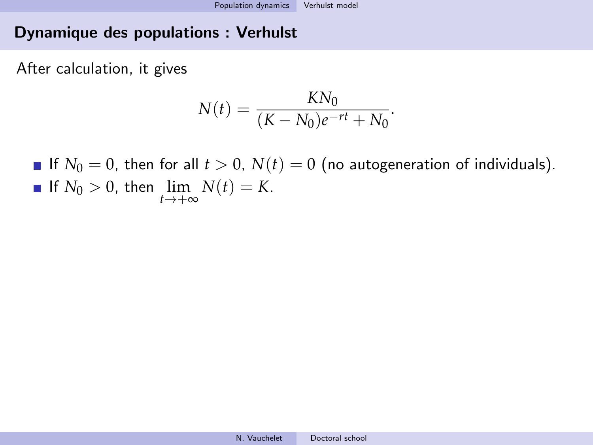#### Dynamique des populations : Verhulst

After calculation, it gives

$$
N(t) = \frac{KN_0}{(K - N_0)e^{-rt} + N_0}.
$$

If  $N_0 = 0$ , then for all  $t > 0$ ,  $N(t) = 0$  (no autogeneration of individuals). If  $N_0 > 0$ , then  $\lim_{t \to +\infty} N(t) = K$ .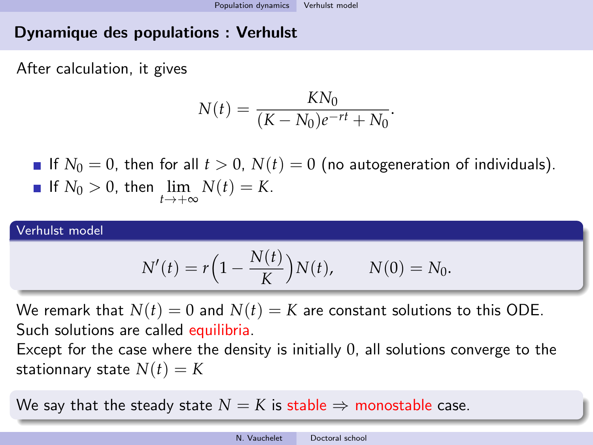# Dynamique des populations : Verhulst

After calculation, it gives

$$
N(t) = \frac{KN_0}{(K - N_0)e^{-rt} + N_0}.
$$

If  $N_0 = 0$ , then for all  $t > 0$ ,  $N(t) = 0$  (no autogeneration of individuals). If  $N_0 > 0$ , then  $\lim_{t \to +\infty} N(t) = K$ .

#### Verhulst model

$$
N'(t) = r(1 - \frac{N(t)}{K})N(t), \qquad N(0) = N_0.
$$

We remark that  $N(t) = 0$  and  $N(t) = K$  are constant solutions to this ODE. Such solutions are called equilibria.

Except for the case where the density is initially 0, all solutions converge to the stationnary state  $N(t) = K$ 

We say that the steady state  $N = K$  is stable  $\Rightarrow$  monostable case.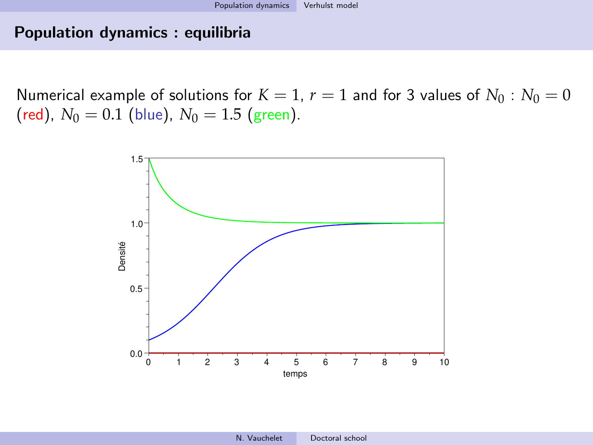#### Population dynamics : equilibria

Numerical example of solutions for  $K = 1$ ,  $r = 1$  and for 3 values of  $N_0 : N_0 = 0$ (red),  $N_0 = 0.1$  (blue),  $N_0 = 1.5$  (green).

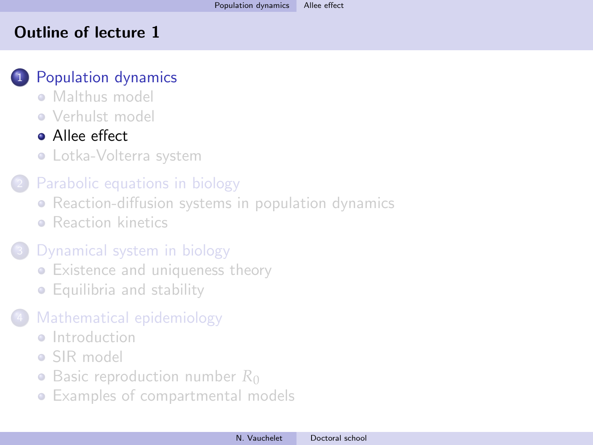#### <span id="page-26-0"></span>Outline of lecture 1

# <sup>1</sup> [Population dynamics](#page-5-0)

- **[Malthus model](#page-7-0)**
- [Verhulst model](#page-17-0)

# **•** [Allee effect](#page-26-0)

[Lotka-Volterra system](#page-30-0)

# [Parabolic equations in biology](#page-36-0)

- [Reaction-diffusion systems in population dynamics](#page-36-0)
- **[Reaction kinetics](#page-44-0)**

# [Dynamical system in biology](#page-57-0)

- [Existence and uniqueness theory](#page-57-0)
- [Equilibria and stability](#page-67-0)

# [Mathematical epidemiology](#page-81-0)

- **a** [Introduction](#page-81-0)
- [SIR model](#page-83-0)
- [Basic reproduction number](#page-91-0) R<sub>0</sub>
- [Examples of compartmental models](#page-102-0)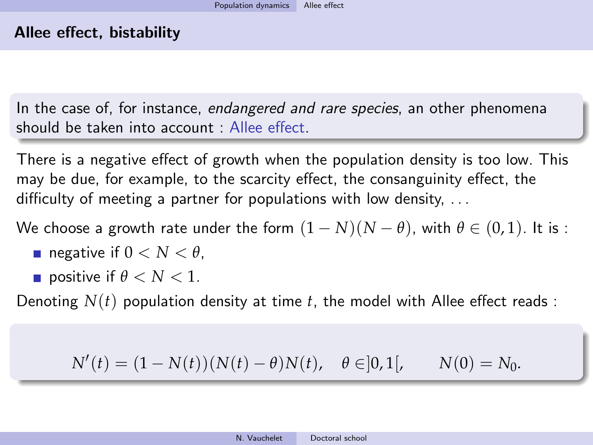In the case of, for instance, endangered and rare species, an other phenomena should be taken into account : Allee effect.

There is a negative effect of growth when the population density is too low. This may be due, for example, to the scarcity effect, the consanguinity effect, the difficulty of meeting a partner for populations with low density, ...

We choose a growth rate under the form  $(1 - N)(N - \theta)$ , with  $\theta \in (0, 1)$ . It is :

- negative if  $0 < N < \theta$ .
- **p** positive if  $\theta < N < 1$ .

Denoting  $N(t)$  population density at time  $t$ , the model with Allee effect reads :

$$
N'(t) = (1 - N(t))(N(t) - \theta)N(t), \quad \theta \in ]0,1[, \qquad N(0) = N_0.
$$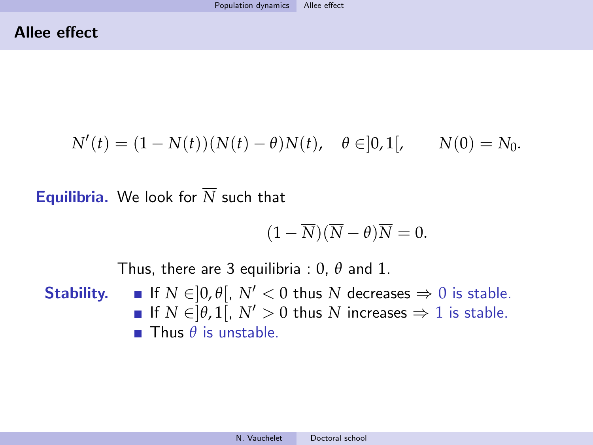$$
N'(t) = (1 - N(t))(N(t) - \theta)N(t), \quad \theta \in ]0,1[, \qquad N(0) = N_0.
$$

**Equilibria.** We look for  $\overline{N}$  such that

$$
(1-\overline{N})(\overline{N}-\theta)\overline{N}=0.
$$

Thus, there are 3 equilibria : 0, *θ* and 1.

**Stability.** If  $N \in ]0, \theta[$ ,  $N' < 0$  thus  $N$  decreases  $\Rightarrow 0$  is stable. If  $N \in ]\theta,1[$ ,  $N' > 0$  thus  $N$  increases  $\Rightarrow 1$  is stable. Thus *θ* is unstable.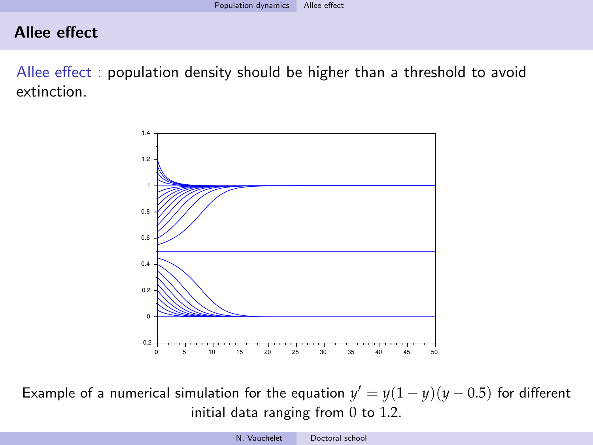#### Allee effect

Allee effect : population density should be higher than a threshold to avoid extinction.



Example of a numerical simulation for the equation  $y' = y(1 - y)(y - 0.5)$  for different initial data ranging from 0 to 1.2.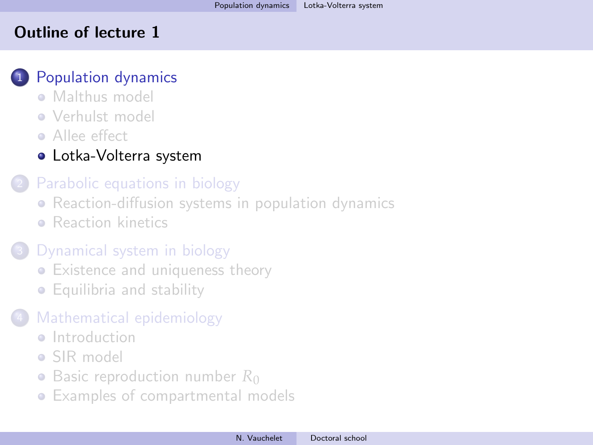#### <span id="page-30-0"></span>Outline of lecture 1

### <sup>1</sup> [Population dynamics](#page-5-0)

- [Malthus model](#page-7-0)
- [Verhulst model](#page-17-0)
- **Allee** effect
- [Lotka-Volterra system](#page-30-0)

## [Parabolic equations in biology](#page-36-0)

- [Reaction-diffusion systems in population dynamics](#page-36-0)
- **[Reaction kinetics](#page-44-0)**

# [Dynamical system in biology](#page-57-0)

- [Existence and uniqueness theory](#page-57-0)
- [Equilibria and stability](#page-67-0)

# [Mathematical epidemiology](#page-81-0)

- **a** [Introduction](#page-81-0)
- [SIR model](#page-83-0)
- [Basic reproduction number](#page-91-0) R<sub>0</sub>
- [Examples of compartmental models](#page-102-0)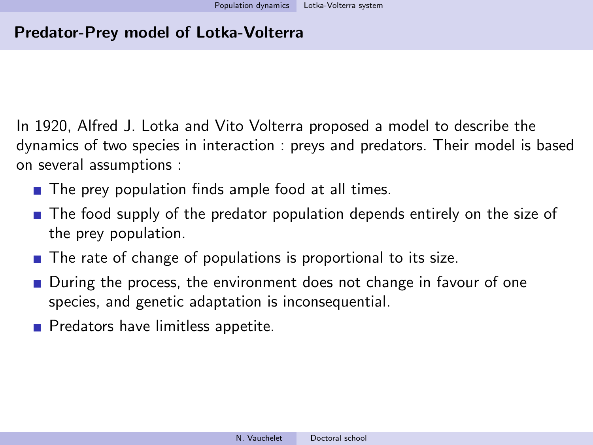In 1920, Alfred J. Lotka and Vito Volterra proposed a model to describe the dynamics of two species in interaction : preys and predators. Their model is based on several assumptions :

- $\blacksquare$  The prey population finds ample food at all times.
- **The food supply of the predator population depends entirely on the size of** the prey population.
- The rate of change of populations is proportional to its size.
- During the process, the environment does not change in favour of one species, and genetic adaptation is inconsequential.
- Predators have limitless appetite.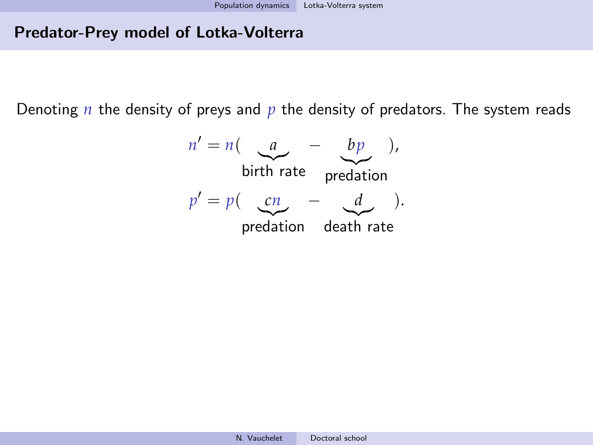Denoting *n* the density of preys and *p* the density of predators. The system reads

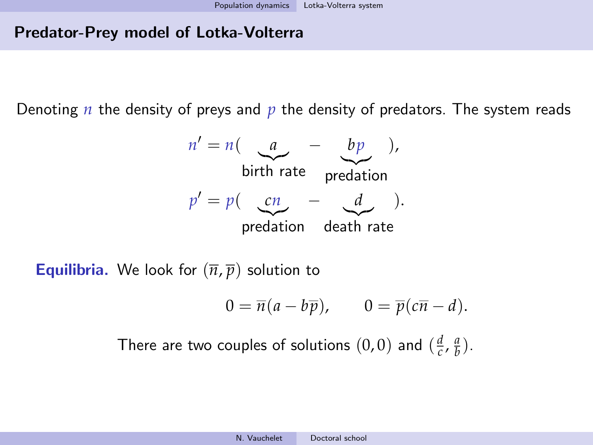Denoting *n* the density of preys and *p* the density of predators. The system reads



**Equilibria.** We look for  $(\overline{n}, \overline{p})$  solution to

$$
0 = \overline{n}(a - b\overline{p}), \qquad 0 = \overline{p}(c\overline{n} - d).
$$

There are two couples of solutions  $(0,0)$  and  $(\frac{d}{c}, \frac{a}{b})$ .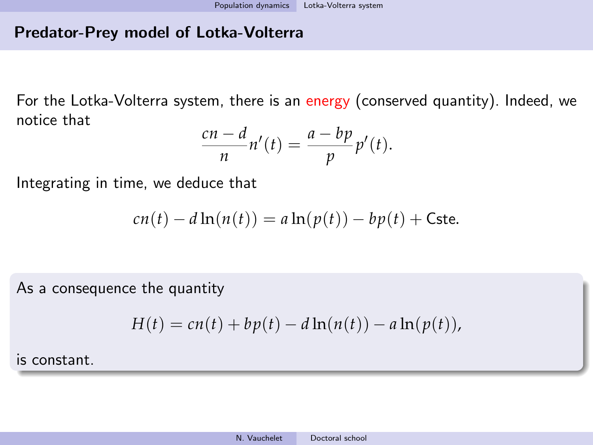For the Lotka-Volterra system, there is an energy (conserved quantity). Indeed, we notice that

$$
\frac{cn-d}{n}n'(t) = \frac{a-bp}{p}p'(t).
$$

Integrating in time, we deduce that

$$
cn(t) - d\ln(n(t)) = a\ln(p(t)) - bp(t) + \text{Cste.}
$$

As a consequence the quantity

$$
H(t) = cn(t) + bp(t) - d\ln(n(t)) - a\ln(p(t)),
$$

is constant.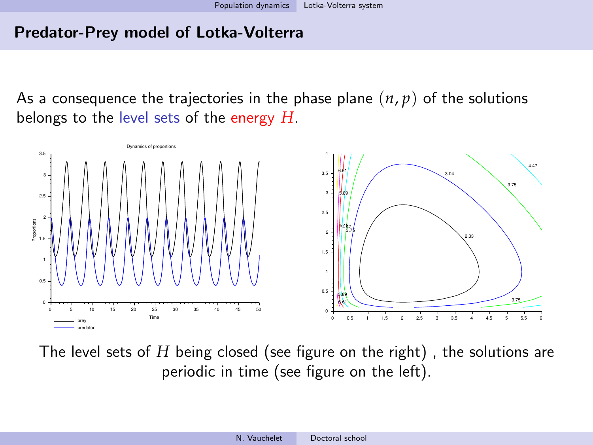As a consequence the trajectories in the phase plane  $(n, p)$  of the solutions belongs to the level sets of the energy *H*.



The level sets of *H* being closed (see figure on the right) , the solutions are periodic in time (see figure on the left).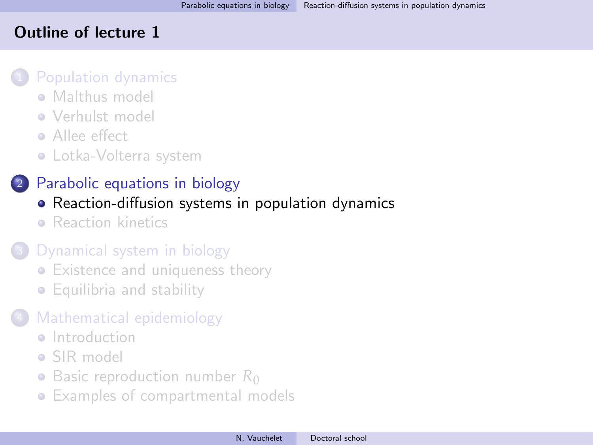## <span id="page-36-0"></span>Outline of lecture 1

#### [Population dynamics](#page-5-0)

- **[Malthus model](#page-7-0)**
- [Verhulst model](#page-17-0)
- **•** [Allee effect](#page-26-0)
- [Lotka-Volterra system](#page-30-0)

# <sup>2</sup> [Parabolic equations in biology](#page-36-0)

- [Reaction-diffusion systems in population dynamics](#page-36-0)
- **[Reaction kinetics](#page-44-0)**

# [Dynamical system in biology](#page-57-0)

- [Existence and uniqueness theory](#page-57-0)
- [Equilibria and stability](#page-67-0)

# [Mathematical epidemiology](#page-81-0)

- **a** [Introduction](#page-81-0)
- [SIR model](#page-83-0)
- [Basic reproduction number](#page-91-0) R<sub>0</sub>
- [Examples of compartmental models](#page-102-0)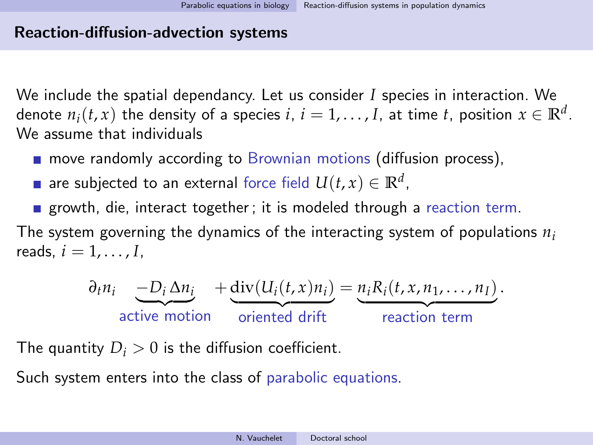## Reaction-diffusion-advection systems

We include the spatial dependancy. Let us consider *I* species in interaction. We denote  $n_i(t, x)$  the density of a species  $i, i = 1, ..., I$ , at time  $t$ , position  $x \in \mathbb{R}^d$ . We assume that individuals

- **n** move randomly according to Brownian motions (diffusion process),
- are subjected to an external force field  $U(t,x) \in \mathbb{R}^d$ ,
- growth, die, interact together; it is modeled through a reaction term.

The system governing the dynamics of the interacting system of populations *n<sup>i</sup>* reads,  $i = 1, \ldots, I$ .

$$
\frac{\partial_t n_i}{\partial_t n_i} \underbrace{-D_i \Delta n_i}_{\text{active motion}} + \underbrace{\text{div}(U_i(t,x)n_i)}_{\text{oriented drift}} = \underbrace{n_i R_i(t,x,n_1,\ldots,n_I)}_{\text{reaction term}}.
$$

The quantity  $D_i > 0$  is the diffusion coefficient.

Such system enters into the class of parabolic equations.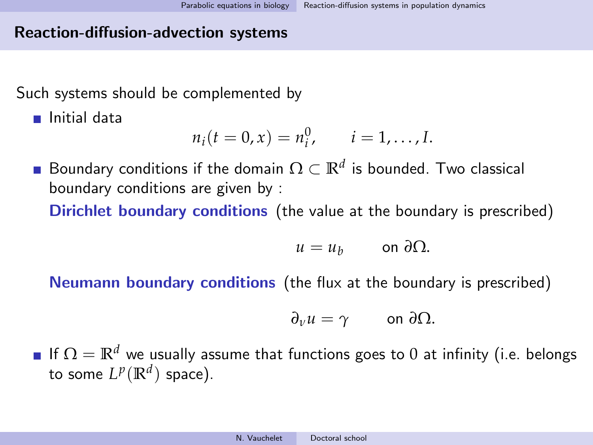## Reaction-diffusion-advection systems

Such systems should be complemented by

■ Initial data

$$
n_i(t = 0, x) = n_i^0, \quad i = 1, ..., I.
$$

Boundary conditions if the domain  $\Omega \subset \mathbb{R}^d$  is bounded. Two classical boundary conditions are given by : Dirichlet boundary conditions (the value at the boundary is prescribed)

$$
u=u_b \qquad \text{on } \partial\Omega.
$$

Neumann boundary conditions (the flux at the boundary is prescribed)

$$
\partial_{\nu}u=\gamma\qquad\text{on }\partial\Omega.
$$

If  $\Omega = \mathbb{R}^d$  we usually assume that functions goes to 0 at infinity (i.e. belongs to some  $L^p(\mathbb{R}^d)$  space).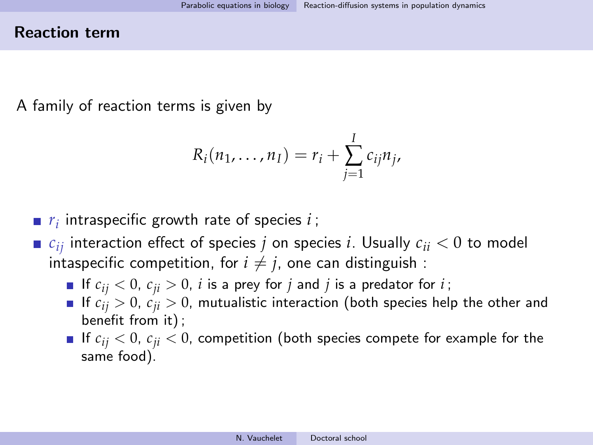## Reaction term

A family of reaction terms is given by

$$
R_i(n_1,\ldots,n_I)=r_i+\sum_{j=1}^I c_{ij}n_j,
$$

- *ri* intraspecific growth rate of species *i* ;
- $\blacksquare$  *c*<sub>ij</sub> interaction effect of species *j* on species *i*. Usually  $c_{ii} < 0$  to model intaspecific competition, for  $i \neq j$ , one can distinguish :
	- If  $c_{ij} < 0$ ,  $c_{ji} > 0$ , *i* is a prey for *j* and *j* is a predator for *i*;
	- If  $c_{ij} > 0$ ,  $c_{ji} > 0$ , mutualistic interaction (both species help the other and benefit from it) ;
	- If  $c_{ij} < 0$ ,  $c_{ji} < 0$ , competition (both species compete for example for the same food).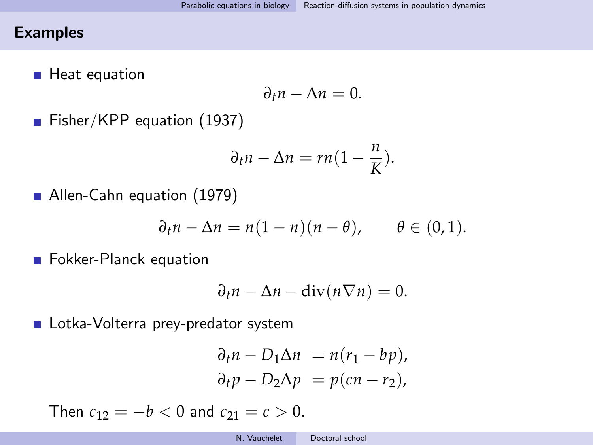## Examples

■ Heat equation

$$
\partial_t n - \Delta n = 0.
$$

Fisher/KPP equation (1937)

$$
\partial_t n - \Delta n = rn(1 - \frac{n}{K}).
$$

Allen-Cahn equation (1979)

$$
\partial_t n - \Delta n = n(1 - n)(n - \theta), \qquad \theta \in (0, 1).
$$

**Fokker-Planck equation** 

$$
\partial_t n - \Delta n - \operatorname{div}(n \nabla n) = 0.
$$

Lotka-Volterra prey-predator system

$$
\begin{aligned}\n\partial_t n - D_1 \Delta n &= n(r_1 - bp), \\
\partial_t p - D_2 \Delta p &= p(cn - r_2),\n\end{aligned}
$$

Then  $c_{12} = -b < 0$  and  $c_{21} = c > 0$ .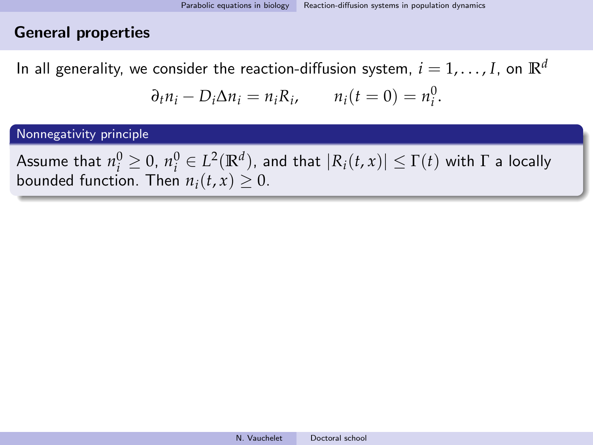## General properties

In all generality, we consider the reaction-diffusion system,  $i = 1, \ldots, I$ , on  $\mathbb{R}^d$ 

$$
\partial_t n_i - D_i \Delta n_i = n_i R_i, \qquad n_i(t = 0) = n_i^0.
$$

Nonnegativity principle

 $\text{Assume that } n_i^0 \geq 0, \, n_i^0 \in L^2(\mathbb{R}^d), \text{ and that } |R_i(t,x)| \leq \Gamma(t) \text{ with } \Gamma \text{ a locally } \Gamma(t)$ bounded function. Then  $n_i(t, x) \geq 0$ .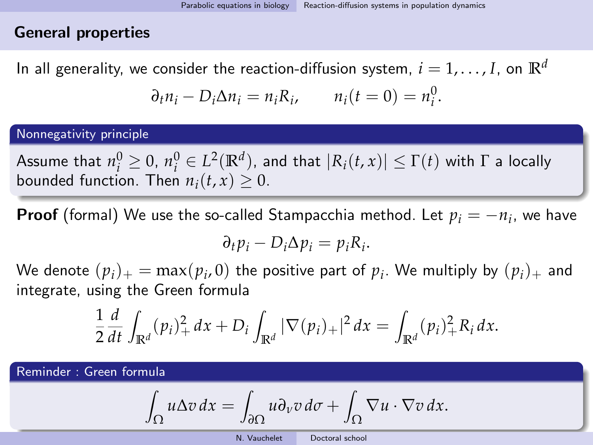## General properties

In all generality, we consider the reaction-diffusion system,  $i = 1, \ldots, I$ , on  $\mathbb{R}^d$ 

$$
\partial_t n_i - D_i \Delta n_i = n_i R_i, \qquad n_i(t = 0) = n_i^0.
$$

#### Nonnegativity principle

 $\text{Assume that } n_i^0 \geq 0, \, n_i^0 \in L^2(\mathbb{R}^d), \text{ and that } |R_i(t,x)| \leq \Gamma(t) \text{ with } \Gamma \text{ a locally } \Gamma(t)$ bounded function. Then  $n_i(t, x) \geq 0$ .

**Proof** (formal) We use the so-called Stampacchia method. Let  $p_i = -n_i$ , we have

$$
\partial_t p_i - D_i \Delta p_i = p_i R_i.
$$

We denote  $(p_i)_+ = \max(p_i, 0)$  the positive part of  $p_i$ . We multiply by  $(p_i)_+$  and integrate, using the Green formula

$$
\frac{1}{2}\frac{d}{dt}\int_{\mathbb{R}^d}(p_i)_+^2 dx + D_i\int_{\mathbb{R}^d} |\nabla(p_i)_+|^2 dx = \int_{\mathbb{R}^d}(p_i)_+^2 R_i dx.
$$

Reminder : Green formula

Z

$$
\int_{\Omega} u \Delta v \, dx = \int_{\partial \Omega} u \partial_{v} v \, d\sigma + \int_{\Omega} \nabla u \cdot \nabla v \, dx.
$$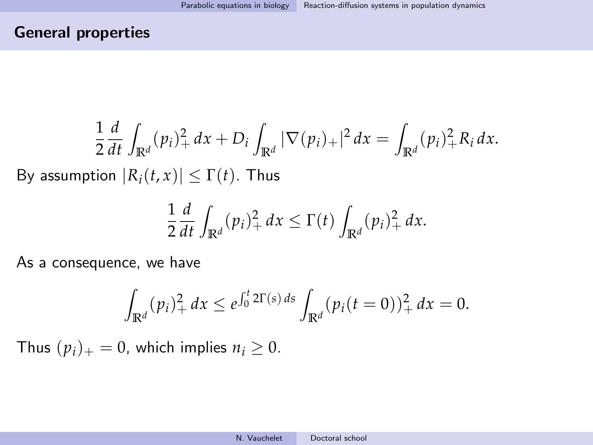# General properties

$$
\frac{1}{2}\frac{d}{dt}\int_{\mathbb{R}^d}(p_i)_+^2 dx + D_i\int_{\mathbb{R}^d} |\nabla(p_i)_+|^2 dx = \int_{\mathbb{R}^d}(p_i)_+^2 R_i dx.
$$

By assumption  $|R_i(t, x)| \leq \Gamma(t)$ . Thus

$$
\frac{1}{2}\frac{d}{dt}\int_{\mathbb{R}^d}(p_i)_+^2dx\leq \Gamma(t)\int_{\mathbb{R}^d}(p_i)_+^2dx.
$$

As a consequence, we have

$$
\int_{\mathbb{R}^d} (p_i)_+^2 dx \leq e^{\int_0^t 2\Gamma(s) ds} \int_{\mathbb{R}^d} (p_i(t=0))^2_+ dx = 0.
$$

Thus  $(p_i)_+ = 0$ , which implies  $n_i \geq 0$ .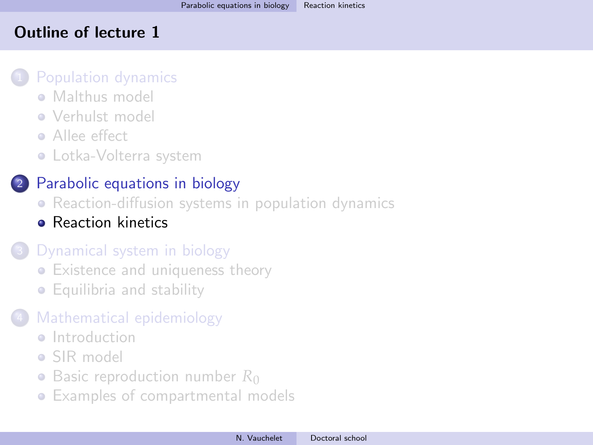## <span id="page-44-0"></span>Outline of lecture 1

### [Population dynamics](#page-5-0)

- [Malthus model](#page-7-0)
- **[Verhulst model](#page-17-0)**
- **Allee** effect
- [Lotka-Volterra system](#page-30-0)

# <sup>2</sup> [Parabolic equations in biology](#page-36-0)

- [Reaction-diffusion systems in population dynamics](#page-36-0)
- **[Reaction kinetics](#page-44-0)**

# [Dynamical system in biology](#page-57-0)

- [Existence and uniqueness theory](#page-57-0)
- [Equilibria and stability](#page-67-0)

# [Mathematical epidemiology](#page-81-0)

- **a** [Introduction](#page-81-0)
- [SIR model](#page-83-0)
- [Basic reproduction number](#page-91-0) R<sub>0</sub>
- [Examples of compartmental models](#page-102-0)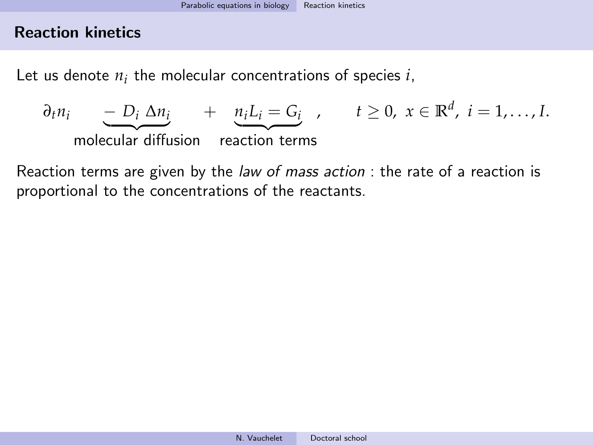Let us denote  $n_i$  the molecular concentrations of species  $i$ ,

$$
\frac{\partial_t n_i}{\partial t} - D_i \Delta n_i + \frac{n_i L_i = G_i}{\partial t}, \quad t \ge 0, \ x \in \mathbb{R}^d, \ i = 1, \dots, I.
$$
\nmolecular diffusion reaction terms

Reaction terms are given by the law of mass action : the rate of a reaction is proportional to the concentrations of the reactants.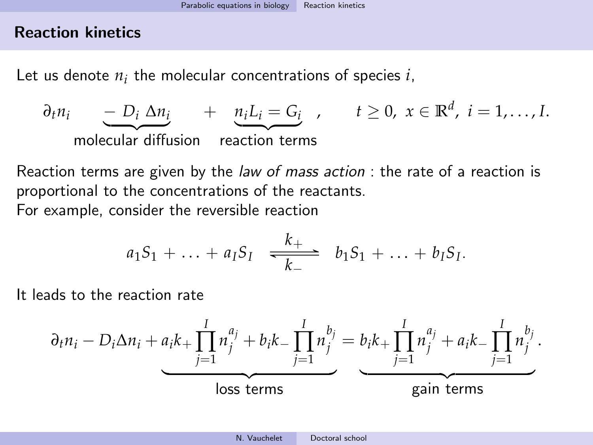Let us denote  $n_i$  the molecular concentrations of species  $i$ ,

$$
\frac{\partial_t n_i}{\partial t} - D_i \Delta n_i + \frac{n_i L_i = G_i}{\partial t}, \quad t \ge 0, \ x \in \mathbb{R}^d, \ i = 1, \dots, I.
$$
\nmolecular diffusion reaction terms

Reaction terms are given by the law of mass action : the rate of a reaction is proportional to the concentrations of the reactants. For example, consider the reversible reaction

$$
a_1S_1 + \ldots + a_1S_1 \xrightarrow[k-]{k_+} b_1S_1 + \ldots + b_1S_1.
$$

It leads to the reaction rate

$$
\frac{\partial_t n_i - D_i \Delta n_i + a_i k_+ \prod_{j=1}^I n_j^{a_j} + b_i k_- \prod_{j=1}^I n_j^{b_j}}{\text{loss terms}} = \underbrace{b_i k_+ \prod_{j=1}^I n_j^{a_j} + a_i k_- \prod_{j=1}^I n_j^{b_j}}_{\text{gain terms}}.
$$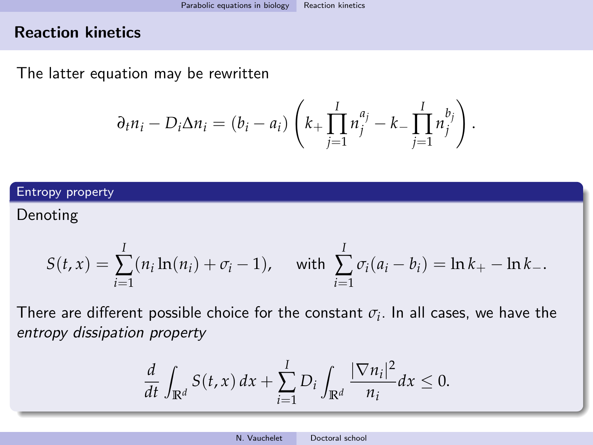The latter equation may be rewritten

$$
\partial_t n_i - D_i \Delta n_i = (b_i - a_i) \left( k_+ \prod_{j=1}^I n_j^{a_j} - k_- \prod_{j=1}^I n_j^{b_j} \right).
$$

#### Entropy property

Denoting

$$
S(t,x) = \sum_{i=1}^{I} (n_i \ln(n_i) + \sigma_i - 1), \quad \text{with } \sum_{i=1}^{I} \sigma_i (a_i - b_i) = \ln k_+ - \ln k_-.
$$

There are different possible choice for the constant  $\sigma_i.$  In all cases, we have the entropy dissipation property

$$
\frac{d}{dt}\int_{\mathbb{R}^d}S(t,x)\,dx+\sum_{i=1}^I D_i\int_{\mathbb{R}^d}\frac{|\nabla n_i|^2}{n_i}dx\leq 0.
$$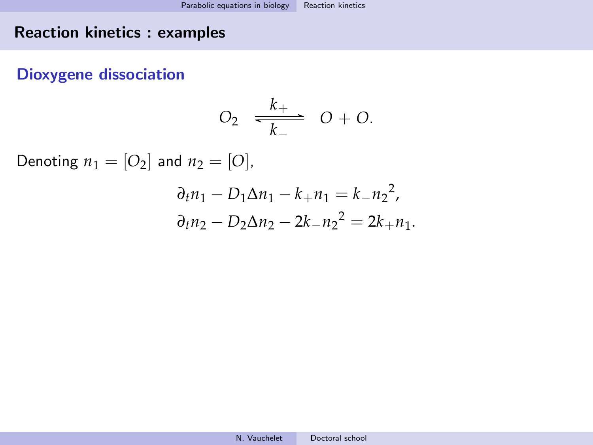## Dioxygene dissociation

$$
O_2 \quad \frac{k_+}{k_-} \quad O + O.
$$

Denoting  $n_1 = [O_2]$  and  $n_2 = [O]$ ,

$$
\partial_t n_1 - D_1 \Delta n_1 - k_+ n_1 = k_- n_2^2,
$$
  

$$
\partial_t n_2 - D_2 \Delta n_2 - 2k_- n_2^2 = 2k_+ n_1.
$$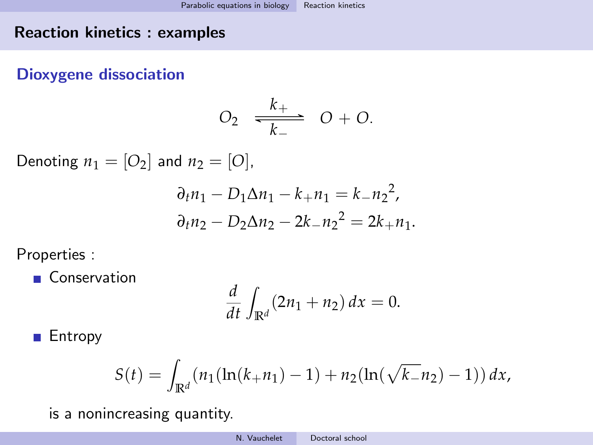# Dioxygene dissociation

$$
O_2 \quad \frac{k_+}{k_-} \quad O + O.
$$

Denoting  $n_1 = [O_2]$  and  $n_2 = [O]$ ,

$$
\partial_t n_1 - D_1 \Delta n_1 - k_+ n_1 = k_- n_2^2,
$$
  

$$
\partial_t n_2 - D_2 \Delta n_2 - 2k_- n_2^2 = 2k_+ n_1.
$$

Properties :

Conservation

$$
\frac{d}{dt}\int_{\mathbb{R}^d}(2n_1+n_2)\,dx=0.
$$

**Entropy** 

$$
S(t) = \int_{\mathbb{R}^d} (n_1(\ln(k_+ n_1) - 1) + n_2(\ln(\sqrt{k_-} n_2) - 1)) dx,
$$

is a nonincreasing quantity.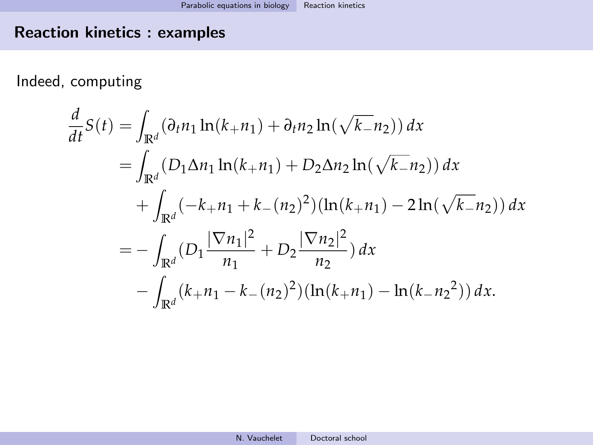Indeed, computing

$$
\frac{d}{dt}S(t) = \int_{\mathbb{R}^d} (\partial_t n_1 \ln(k_1 + n_1) + \partial_t n_2 \ln(\sqrt{k_1} n_2)) dx
$$
  
\n
$$
= \int_{\mathbb{R}^d} (D_1 \Delta n_1 \ln(k_1 + n_1) + D_2 \Delta n_2 \ln(\sqrt{k_1} n_2)) dx
$$
  
\n
$$
+ \int_{\mathbb{R}^d} (-k_1 + n_1 + k_1 (n_2)^2) (\ln(k_1 + n_1) - 2 \ln(\sqrt{k_1} n_2)) dx
$$
  
\n
$$
= - \int_{\mathbb{R}^d} (D_1 \frac{|\nabla n_1|^2}{n_1} + D_2 \frac{|\nabla n_2|^2}{n_2}) dx
$$
  
\n
$$
- \int_{\mathbb{R}^d} (k_1 + n_1 - k_1 (n_2)^2) (\ln(k_1 + n_1) - \ln(k_1 + n_2)^2) dx.
$$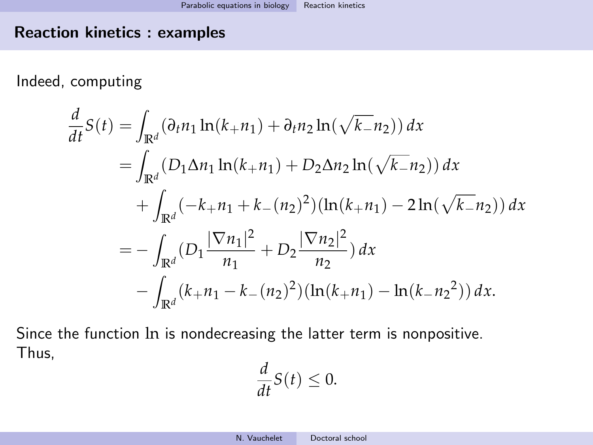Indeed, computing

$$
\frac{d}{dt}S(t) = \int_{\mathbb{R}^d} (\partial_t n_1 \ln(k_1 + n_1) + \partial_t n_2 \ln(\sqrt{k_1} n_2)) dx
$$
  
\n
$$
= \int_{\mathbb{R}^d} (D_1 \Delta n_1 \ln(k_1 + n_1) + D_2 \Delta n_2 \ln(\sqrt{k_1} n_2)) dx
$$
  
\n
$$
+ \int_{\mathbb{R}^d} (-k_1 + n_1 + k_1 (n_2)^2) (\ln(k_1 + n_1) - 2 \ln(\sqrt{k_1} n_2)) dx
$$
  
\n
$$
= - \int_{\mathbb{R}^d} (D_1 \frac{|\nabla n_1|^2}{n_1} + D_2 \frac{|\nabla n_2|^2}{n_2}) dx
$$
  
\n
$$
- \int_{\mathbb{R}^d} (k_1 + n_1 - k_1 (n_2)^2) (\ln(k_1 + n_1) - \ln(k_1 + n_2)^2) dx.
$$

Since the function ln is nondecreasing the latter term is nonpositive. Thus,

$$
\frac{d}{dt}S(t)\leq 0.
$$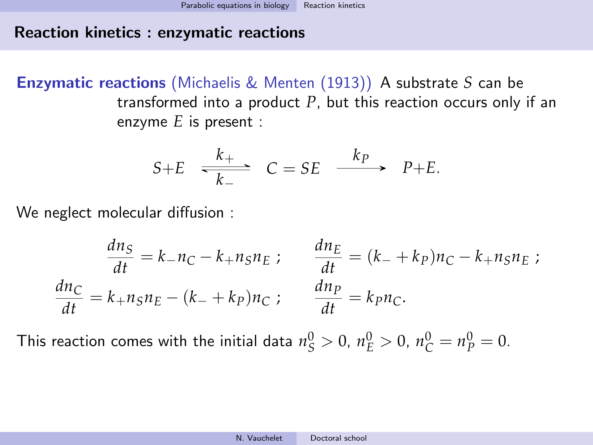### Reaction kinetics : enzymatic reactions

Enzymatic reactions (Michaelis & Menten (1913)) A substrate *S* can be transformed into a product *P*, but this reaction occurs only if an enzyme *E* is present :

$$
S+E \xrightarrow[k_{-}]{k_{+}} C = SE \xrightarrow{k_{P}} P+E.
$$

We neglect molecular diffusion :

$$
\frac{dn_S}{dt} = k_- n_C - k_+ n_S n_E ; \qquad \frac{dn_E}{dt} = (k_- + k_P) n_C - k_+ n_S n_E ;
$$

$$
\frac{dn_C}{dt} = k_+ n_S n_E - (k_- + k_P) n_C ; \qquad \frac{dn_P}{dt} = k_P n_C.
$$

This reaction comes with the initial data  $n_S^0 > 0$ ,  $n_E^0 > 0$ ,  $n_C^0 = n_P^0 = 0$ .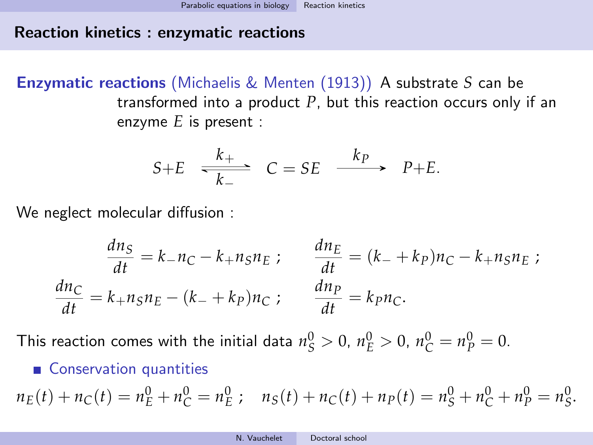## Reaction kinetics : enzymatic reactions

Enzymatic reactions (Michaelis & Menten (1913)) A substrate *S* can be transformed into a product *P*, but this reaction occurs only if an enzyme *E* is present :

$$
S+E \xrightarrow[k_{-}]{k_{+}} C = SE \xrightarrow{k_{P}} P+E.
$$

We neglect molecular diffusion :

$$
\frac{dn_S}{dt} = k_- n_C - k_+ n_S n_E ; \qquad \frac{dn_E}{dt} = (k_- + k_P) n_C - k_+ n_S n_E ;
$$

$$
\frac{dn_C}{dt} = k_+ n_S n_E - (k_- + k_P) n_C ; \qquad \frac{dn_P}{dt} = k_P n_C.
$$

This reaction comes with the initial data  $n_S^0 > 0$ ,  $n_E^0 > 0$ ,  $n_C^0 = n_P^0 = 0$ .

## ■ Conservation quantities

 $n_E(t) + n_C(t) = n_E^0 + n_C^0 = n_E^0$ ;  $n_S(t) + n_C(t) + n_P(t) = n_S^0 + n_C^0 + n_P^0 = n_S^0$ .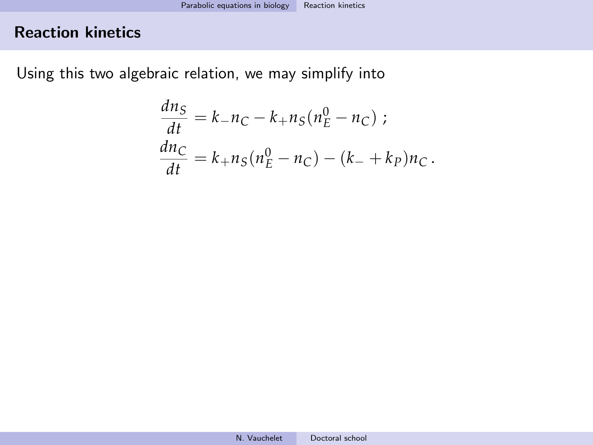Using this two algebraic relation, we may simplify into

$$
\frac{dn_S}{dt} = k_- n_C - k_+ n_S (n_E^0 - n_C) ;
$$
  
\n
$$
\frac{dn_C}{dt} = k_+ n_S (n_E^0 - n_C) - (k_- + k_P) n_C.
$$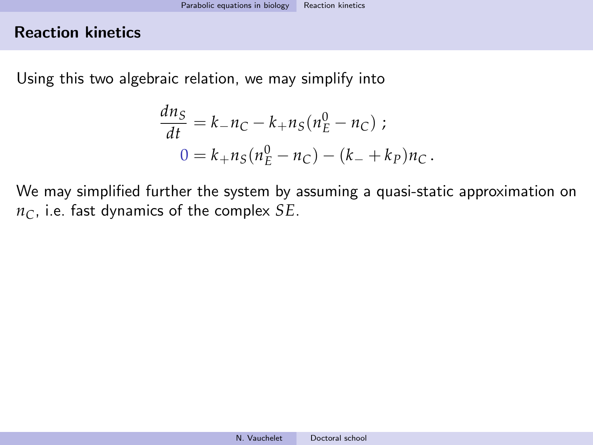Using this two algebraic relation, we may simplify into

$$
\frac{dn_S}{dt} = k_- n_C - k_+ n_S (n_E^0 - n_C) ;
$$
  

$$
0 = k_+ n_S (n_E^0 - n_C) - (k_- + k_P) n_C.
$$

We may simplified further the system by assuming a quasi-static approximation on *nC*, i.e. fast dynamics of the complex *SE*.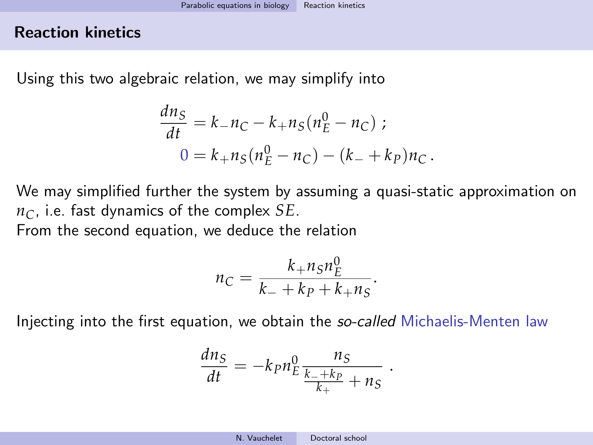Using this two algebraic relation, we may simplify into

$$
\frac{dn_S}{dt} = k_- n_C - k_+ n_S(n_E^0 - n_C) ;
$$
  

$$
0 = k_+ n_S(n_E^0 - n_C) - (k_- + k_P)n_C.
$$

We may simplified further the system by assuming a quasi-static approximation on *nC*, i.e. fast dynamics of the complex *SE*.

From the second equation, we deduce the relation

$$
n_C = \frac{k_+ n_S n_E^0}{k_- + k_P + k_+ n_S}.
$$

Injecting into the first equation, we obtain the *so-called* Michaelis-Menten law

$$
\frac{dn_S}{dt} = -k_P n_E^0 \frac{n_S}{\frac{k_- + k_P}{k_+} + n_S}
$$

.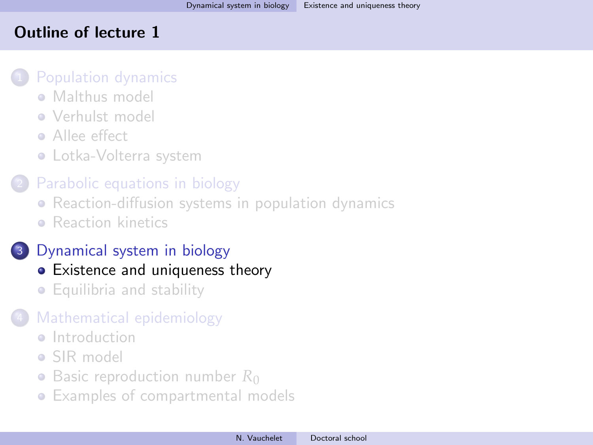# <span id="page-57-0"></span>Outline of lecture 1

### [Population dynamics](#page-5-0)

- **[Malthus model](#page-7-0)**
- [Verhulst model](#page-17-0)
- **•** [Allee effect](#page-26-0)
- [Lotka-Volterra system](#page-30-0)

# [Parabolic equations in biology](#page-36-0)

- [Reaction-diffusion systems in population dynamics](#page-36-0)
- **[Reaction kinetics](#page-44-0)**

# <sup>3</sup> [Dynamical system in biology](#page-57-0)

# • [Existence and uniqueness theory](#page-57-0)

• [Equilibria and stability](#page-67-0)

# [Mathematical epidemiology](#page-81-0)

- **a** [Introduction](#page-81-0)
- [SIR model](#page-83-0)
- [Basic reproduction number](#page-91-0) R<sub>0</sub>
- [Examples of compartmental models](#page-102-0)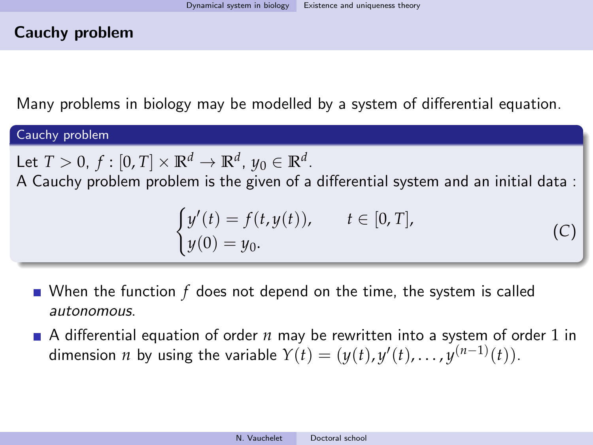## Cauchy problem

Many problems in biology may be modelled by a system of differential equation.

#### Cauchy problem

Let  $T > 0$ ,  $f : [0, T] \times \mathbb{R}^d \to \mathbb{R}^d$ ,  $y_0 \in \mathbb{R}^d$ .

A Cauchy problem problem is the given of a differential system and an initial data :

$$
\begin{cases}\ny'(t) = f(t, y(t)), & t \in [0, T], \\
y(0) = y_0.\n\end{cases}
$$

<span id="page-58-0"></span>(*C*)

When the function 
$$
f
$$
 does not depend on the time, the system is called *autonomous*.

A differential equation of order *n* may be rewritten into a system of order 1 in dimension *n* by using the variable  $Y(t) = (y(t), y'(t), \ldots, y^{(n-1)}(t)).$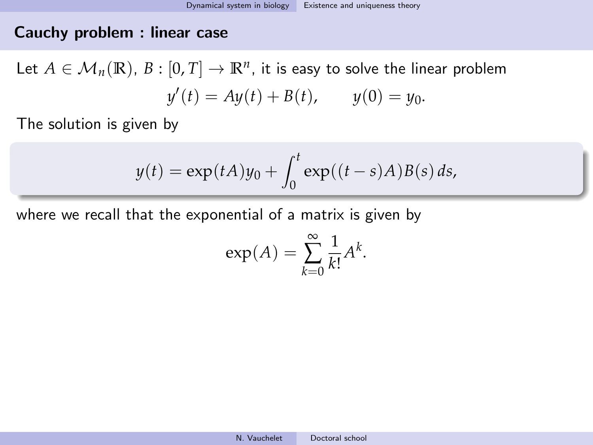## Cauchy problem : linear case

Let  $A \in \mathcal{M}_n(\mathbb{R})$ ,  $B : [0, T] \to \mathbb{R}^n$ , it is easy to solve the linear problem  $y'(t) = Ay(t) + B(t)$ ,  $y(0) = y_0$ .

The solution is given by

$$
y(t) = \exp(tA)y_0 + \int_0^t \exp((t-s)A)B(s) ds,
$$

where we recall that the exponential of a matrix is given by

$$
\exp(A) = \sum_{k=0}^{\infty} \frac{1}{k!} A^k.
$$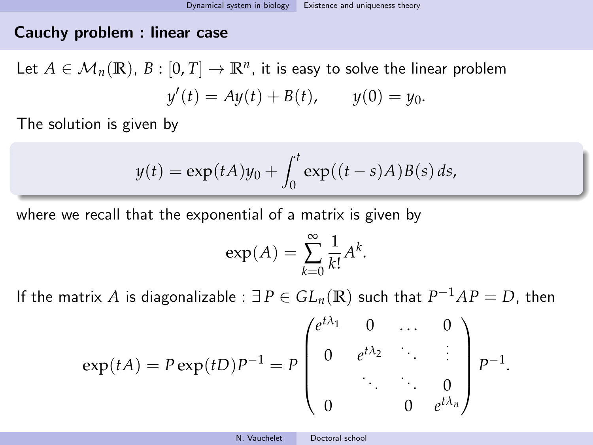## Cauchy problem : linear case

Let  $A \in \mathcal{M}_n(\mathbb{R})$ ,  $B : [0, T] \to \mathbb{R}^n$ , it is easy to solve the linear problem  $y'(t) = Ay(t) + B(t)$ ,  $y(0) = y_0$ .

The solution is given by

$$
y(t) = \exp(tA)y_0 + \int_0^t \exp((t-s)A)B(s) ds,
$$

where we recall that the exponential of a matrix is given by

$$
\exp(A) = \sum_{k=0}^{\infty} \frac{1}{k!} A^k.
$$

If the matrix  $A$  is diagonalizable :  $\exists P \in GL_n(\mathbb{R})$  such that  $P^{-1}AP = D$ , then

$$
\exp(tA) = P \exp(tD) P^{-1} = P \begin{pmatrix} e^{t\lambda_1} & 0 & \dots & 0 \\ 0 & e^{t\lambda_2} & \ddots & \vdots \\ \vdots & \ddots & \ddots & 0 \\ 0 & 0 & e^{t\lambda_n} \end{pmatrix} P^{-1}.
$$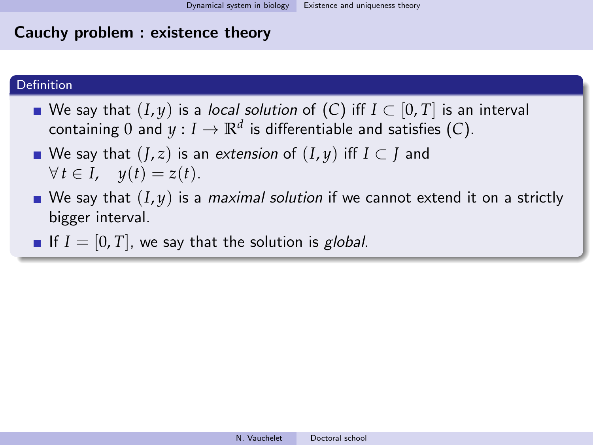#### Definition

- We say that  $(I, y)$  is a *local solution* of  $(C)$  $(C)$  $(C)$  iff  $I \subset [0, T]$  is an interval containing  $0$  and  $y:I\to\mathbb{R}^d$  is differentiable and satisfies ([C](#page-58-0)).
- We say that (*J*, *z*) is an extension of (*I*, *y*) iff *I* ⊂ *J* and  $\forall t \in I$ ,  $y(t) = z(t)$ .
- We say that  $(I, y)$  is a *maximal solution* if we cannot extend it on a strictly bigger interval.
- If  $I = [0, T]$ , we say that the solution is *global*.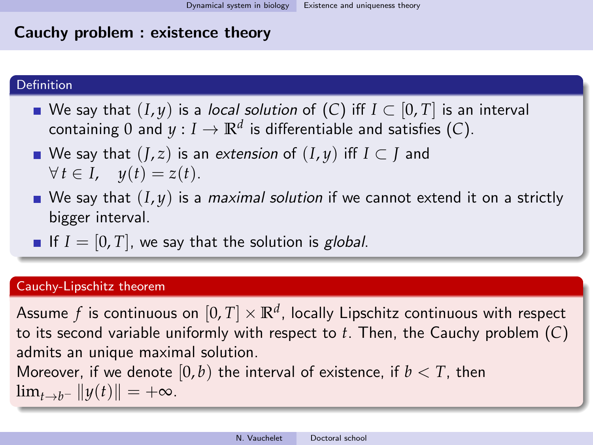#### Definition

- We say that  $(I, y)$  is a *local solution* of  $(C)$  $(C)$  $(C)$  iff  $I \subset [0, T]$  is an interval containing  $0$  and  $y:I\to\mathbb{R}^d$  is differentiable and satisfies ([C](#page-58-0)).
- We say that  $(I, z)$  is an extension of  $(I, y)$  iff  $I \subset I$  and  $\forall t \in I$ ,  $y(t) = z(t)$ .
- We say that  $(I, y)$  is a *maximal solution* if we cannot extend it on a strictly bigger interval.
- If  $I = [0, T]$ , we say that the solution is *global*.

#### Cauchy-Lipschitz theorem

Assume  $f$  is continuous on  $[0,T]\times\mathbb{R}^d$ , locally Lipschitz continuous with respect to its second variable uniformly with respect to *t*. Then, the Cauchy problem (*[C](#page-58-0)*) admits an unique maximal solution.

Moreover, if we denote  $[0, b)$  the interval of existence, if  $b < T$ , then  $\lim_{t\to b^-} \|y(t)\| = +\infty.$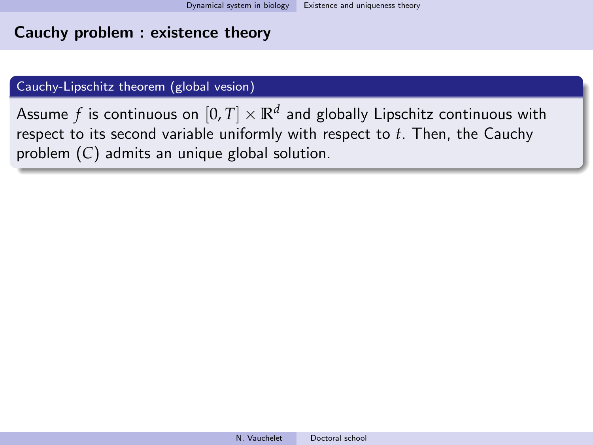#### Cauchy-Lipschitz theorem (global vesion)

Assume  $f$  is continuous on  $[0,T]\times\mathbb{R}^d$  and globally Lipschitz continuous with respect to its second variable uniformly with respect to *t*. Then, the Cauchy problem (*[C](#page-58-0)*) admits an unique global solution.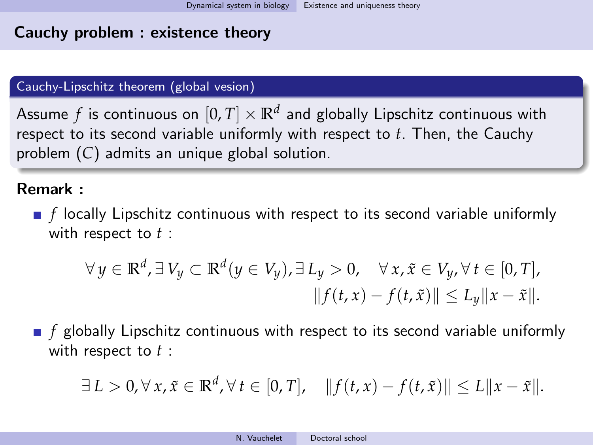#### Cauchy-Lipschitz theorem (global vesion)

Assume  $f$  is continuous on  $[0,T]\times\mathbb{R}^d$  and globally Lipschitz continuous with respect to its second variable uniformly with respect to *t*. Then, the Cauchy problem (*[C](#page-58-0)*) admits an unique global solution.

# Remark :

**F** f locally Lipschitz continuous with respect to its second variable uniformly with respect to *t* :

$$
\forall y \in \mathbb{R}^d, \exists V_y \subset \mathbb{R}^d (y \in V_y), \exists L_y > 0, \quad \forall x, \tilde{x} \in V_y, \forall t \in [0, T],
$$
  

$$
||f(t, x) - f(t, \tilde{x})|| \le L_y ||x - \tilde{x}||.
$$

**F** f globally Lipschitz continuous with respect to its second variable uniformly with respect to *t* :

$$
\exists L > 0, \forall x, \tilde{x} \in \mathbb{R}^d, \forall t \in [0, T], \quad ||f(t, x) - f(t, \tilde{x})|| \le L||x - \tilde{x}||.
$$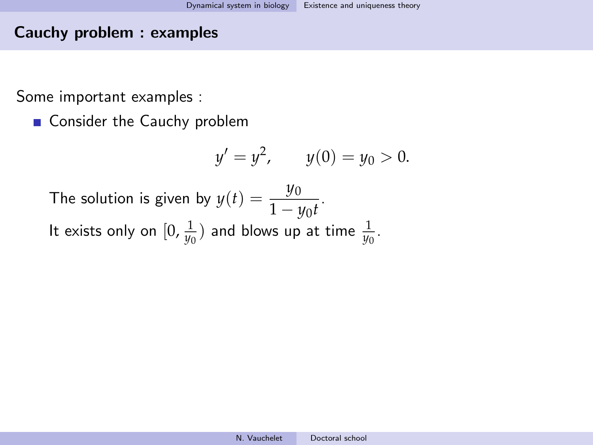### Cauchy problem : examples

Some important examples :

■ Consider the Cauchy problem

$$
y' = y^2, \qquad y(0) = y_0 > 0.
$$

The solution is given by  $y(t) = \frac{y_0}{1 - 4}$  $\frac{y6}{1 - y_0t}.$ It exists only on  $[0, \frac{1}{y_0})$  and blows up at time  $\frac{1}{y_0}$ .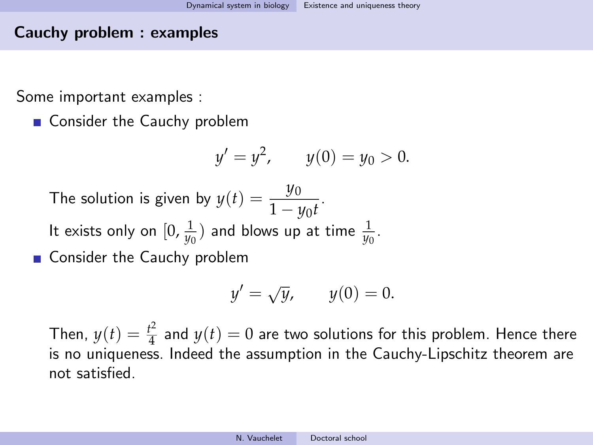## Cauchy problem : examples

Some important examples :

■ Consider the Cauchy problem

$$
y' = y^2
$$
,  $y(0) = y_0 > 0$ .

The solution is given by  $y(t) = \frac{y_0}{1 - 4}$  $\frac{y6}{1 - y_0t}.$ It exists only on  $[0, \frac{1}{y_0})$  and blows up at time  $\frac{1}{y_0}$ .

■ Consider the Cauchy problem

$$
y' = \sqrt{y}, \qquad y(0) = 0.
$$

Then,  $y(t) = \frac{t^2}{4}$  $\frac{d^2}{4}$  and  $y(t) = 0$  are two solutions for this problem. Hence there is no uniqueness. Indeed the assumption in the Cauchy-Lipschitz theorem are not satisfied.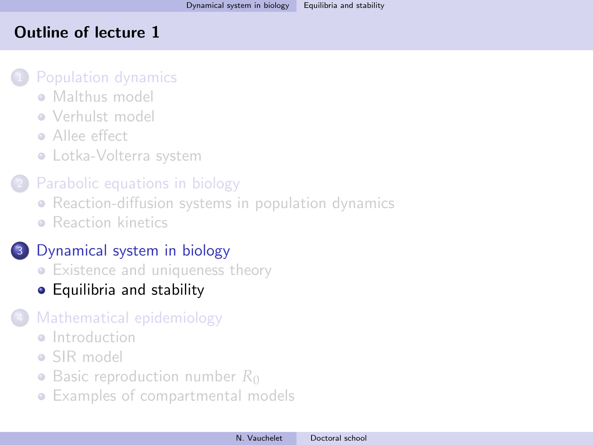## <span id="page-67-0"></span>Outline of lecture 1

### [Population dynamics](#page-5-0)

- **[Malthus model](#page-7-0)**
- [Verhulst model](#page-17-0)
- **•** [Allee effect](#page-26-0)
- [Lotka-Volterra system](#page-30-0)

# [Parabolic equations in biology](#page-36-0)

- [Reaction-diffusion systems in population dynamics](#page-36-0)
- **[Reaction kinetics](#page-44-0)**

# <sup>3</sup> [Dynamical system in biology](#page-57-0)

- [Existence and uniqueness theory](#page-57-0)
- [Equilibria and stability](#page-67-0)

# [Mathematical epidemiology](#page-81-0)

- **a** [Introduction](#page-81-0)
- [SIR model](#page-83-0)
- [Basic reproduction number](#page-91-0) R<sub>0</sub>
- [Examples of compartmental models](#page-102-0)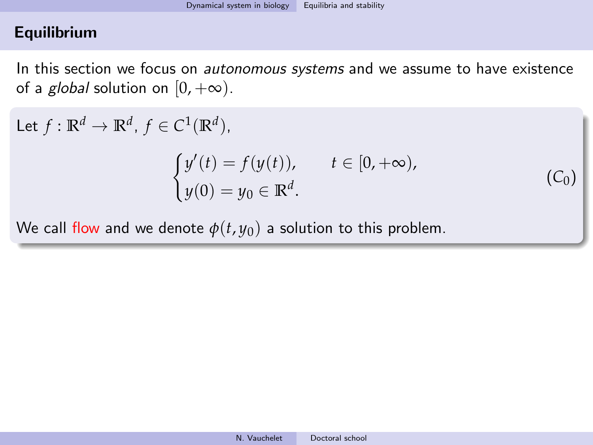## **Equilibrium**

In this section we focus on *autonomous systems* and we assume to have existence of a *global* solution on  $[0, +\infty)$ .

 $(C_0)$ 

Let  $f: \mathbb{R}^d \to \mathbb{R}^d$ ,  $f \in C^1(\mathbb{R}^d)$ ,  $\int y'(t) = f(y(t)), \quad t \in [0, +\infty),$  $y(0) = y_0 \in \mathbb{R}^d$ .

We call flow and we denote  $\phi(t, y_0)$  a solution to this problem.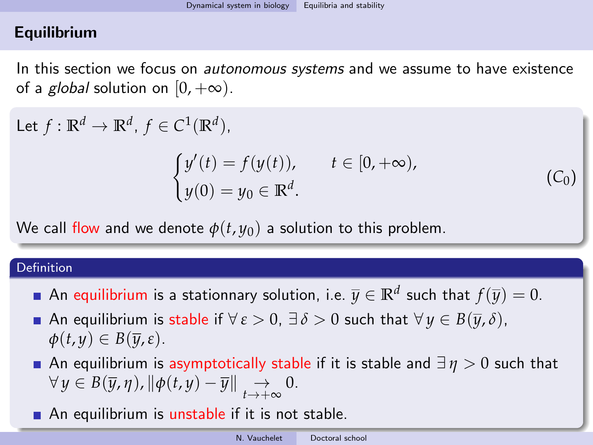# **Equilibrium**

In this section we focus on *autonomous systems* and we assume to have existence of a *global* solution on  $[0, +\infty)$ .

Let  $f: \mathbb{R}^d \to \mathbb{R}^d$ ,  $f \in C^1(\mathbb{R}^d)$ ,  $\sqrt{ }$ 

$$
y'(t) = f(y(t)), \qquad t \in [0, +\infty),
$$
  

$$
y(0) = y_0 \in \mathbb{R}^d.
$$

 $(C_0)$ 

We call flow and we denote  $\phi(t, y_0)$  a solution to this problem.

#### Definition

- An equilibrium is a stationnary solution, i.e.  $\overline{y} \in \mathbb{R}^d$  such that  $f(\overline{y}) = 0.$
- **■** An equilibrium is stable if  $\forall \varepsilon > 0$ ,  $\exists \delta > 0$  such that  $\forall y \in B(\overline{y}, \delta)$ ,  $\phi(t, y) \in B(\overline{y}, \varepsilon).$
- An equilibrium is asymptotically stable if it is stable and  $\exists \eta > 0$  such that  $\forall y \in B(\overline{y}, \eta)$ ,  $\|\phi(t, y) - \overline{y}\| \underset{t \to +\infty}{\to} 0.$
- An equilibrium is unstable if it is not stable.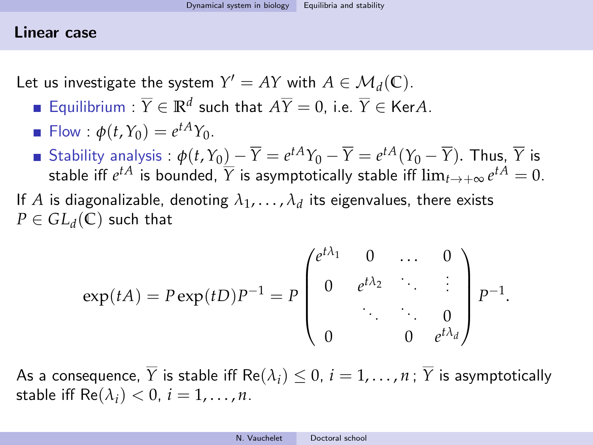#### Linear case

Let us investigate the system  $Y' = AY$  with  $A \in \mathcal{M}_d(\mathbb{C})$ .

- Equilibrium :  $\overline{Y} \in \mathbb{R}^d$  such that  $A\overline{Y} = 0$ , i.e.  $\overline{Y} \in \text{Ker}A$ .
- $\mathsf{Flow}: \phi(t, Y_0) = e^{tA}Y_0.$
- Stability analysis :  $\phi(t,Y_0)\_\!\!-\!\overline{Y}=e^{tA}Y_0-\overline{Y}=e^{tA}(Y_0-\overline{Y}).$  Thus,  $\overline{Y}$  is stable iff  $e^{tA}$  is bounded,  $\overline{Y}$  is asymptotically stable iff  $\lim_{t\to +\infty}e^{tA}=0.$
- If  $A$  is diagonalizable, denoting  $\lambda_1,\ldots,\lambda_d$  its eigenvalues, there exists  $P \in GL_d(\mathbb{C})$  such that

$$
\exp(tA) = P \exp(tD) P^{-1} = P \begin{pmatrix} e^{t\lambda_1} & 0 & \dots & 0 \\ 0 & e^{t\lambda_2} & \ddots & \vdots \\ \vdots & \ddots & \ddots & 0 \\ 0 & 0 & e^{t\lambda_d} \end{pmatrix} P^{-1}.
$$

As a consequence,  $\overline{Y}$  is stable iff Re( $\lambda_i$ )  $\leq 0$ ,  $i = 1, \ldots, n$ ;  $\overline{Y}$  is asymptotically stable iff  $\text{Re}(\lambda_i) < 0$ ,  $i = 1, \ldots, n$ .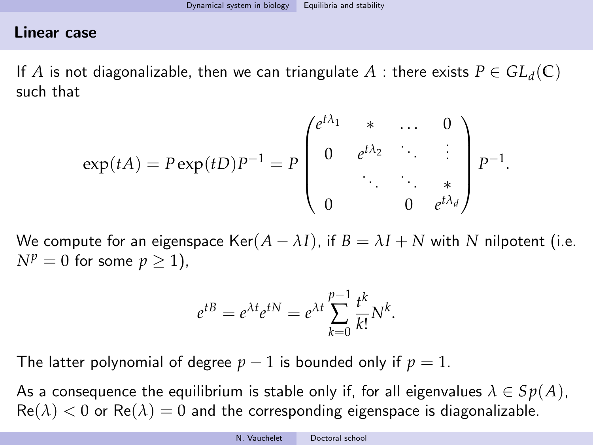## Linear case

If  $A$  is not diagonalizable, then we can triangulate  $A$  : there exists  $P \in GL_d(\mathbb{C})$ such that

$$
\exp(tA) = P \exp(tD) P^{-1} = P \begin{pmatrix} e^{t\lambda_1} & * & \dots & 0 \\ 0 & e^{t\lambda_2} & \ddots & \vdots \\ \vdots & \ddots & \ddots & * \\ 0 & 0 & e^{t\lambda_d} \end{pmatrix} P^{-1}.
$$

We compute for an eigenspace  $\text{Ker}(A - \lambda I)$ , if  $B = \lambda I + N$  with N nilpotent (i.e.  $N^p = 0$  for some  $p > 1$ ),

$$
e^{tB} = e^{\lambda t}e^{tN} = e^{\lambda t}\sum_{k=0}^{p-1}\frac{t^k}{k!}N^k.
$$

The latter polynomial of degree  $p-1$  is bounded only if  $p=1$ .

As a consequence the equilibrium is stable only if, for all eigenvalues  $\lambda \in Sp(A)$ ,  $\text{Re}(\lambda) < 0$  or  $\text{Re}(\lambda) = 0$  and the corresponding eigenspace is diagonalizable.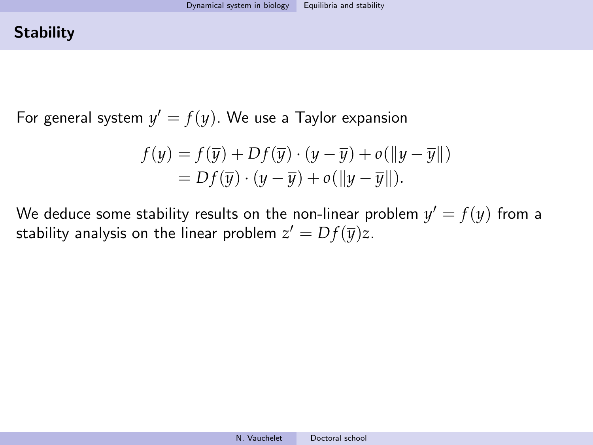## **Stability**

For general system  $y' = f(y)$ . We use a Taylor expansion

$$
f(y) = f(\overline{y}) + Df(\overline{y}) \cdot (y - \overline{y}) + o(||y - \overline{y}||)
$$
  
=  $Df(\overline{y}) \cdot (y - \overline{y}) + o(||y - \overline{y}||).$ 

We deduce some stability results on the non-linear problem  $y'=f(y)$  from a stability analysis on the linear problem  $z'=Df(\overline{y})z.$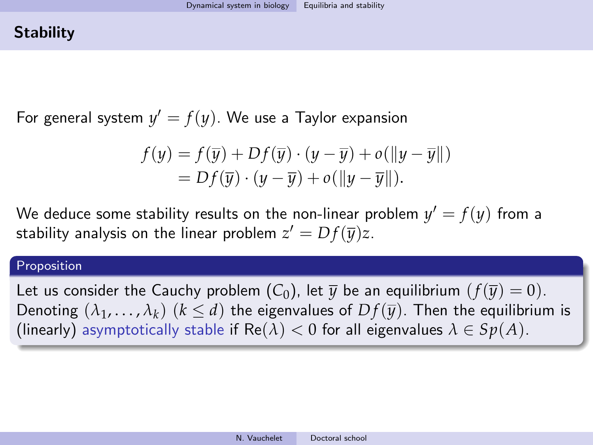## **Stability**

For general system  $y' = f(y)$ . We use a Taylor expansion

$$
f(y) = f(\overline{y}) + Df(\overline{y}) \cdot (y - \overline{y}) + o(||y - \overline{y}||)
$$
  
=  $Df(\overline{y}) \cdot (y - \overline{y}) + o(||y - \overline{y}||).$ 

We deduce some stability results on the non-linear problem  $y'=f(y)$  from a stability analysis on the linear problem  $z'=Df(\overline{y})z.$ 

#### Proposition

Let us consider the [C](#page-68-0)auchy problem  $(C_0)$ , let  $\overline{\psi}$  be an equilibrium  $(f(\overline{\psi}) = 0)$ . Denoting  $(\lambda_1,\ldots,\lambda_k)$   $(k\leq d)$  the eigenvalues of  $Df(\overline{y})$ . Then the equilibrium is (linearly) asymptotically stable if  $\text{Re}(\lambda) < 0$  for all eigenvalues  $\lambda \in Sp(A)$ .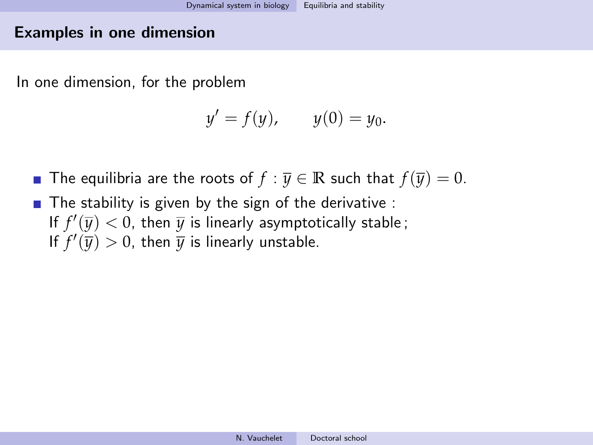#### Examples in one dimension

In one dimension, for the problem

$$
y' = f(y)
$$
,  $y(0) = y_0$ .

- The equilibria are the roots of  $f : \overline{y} \in \mathbb{R}$  such that  $f(\overline{y}) = 0$ .
- $\blacksquare$  The stability is given by the sign of the derivative : If  $f'(\overline{y}) < 0$ , then  $\overline{y}$  is linearly asymptotically stable; If  $f'(\overline{y}) > 0$ , then  $\overline{y}$  is linearly unstable.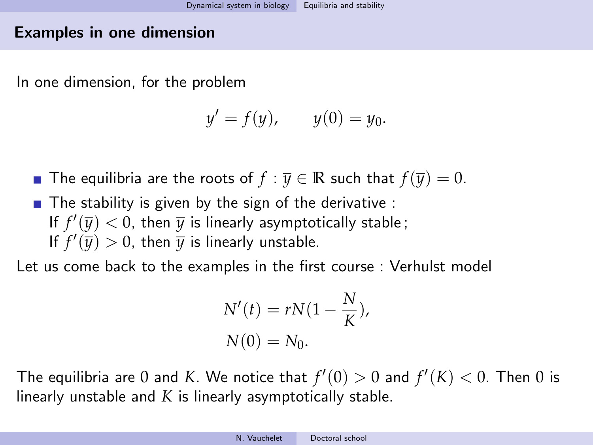#### Examples in one dimension

In one dimension, for the problem

$$
y' = f(y)
$$
,  $y(0) = y_0$ .

- The equilibria are the roots of  $f : \overline{y} \in \mathbb{R}$  such that  $f(\overline{y}) = 0$ .
- $\blacksquare$  The stability is given by the sign of the derivative : If  $f'(\overline{y}) < 0$ , then  $\overline{y}$  is linearly asymptotically stable; If  $f'(\overline{y}) > 0$ , then  $\overline{y}$  is linearly unstable.

Let us come back to the examples in the first course : Verhulst model

$$
N'(t) = rN(1 - \frac{N}{K}),
$$
  

$$
N(0) = N_0.
$$

The equilibria are 0 and  $K$ . We notice that  $f'(0) > 0$  and  $f'(K) < 0$ . Then 0 is linearly unstable and *K* is linearly asymptotically stable.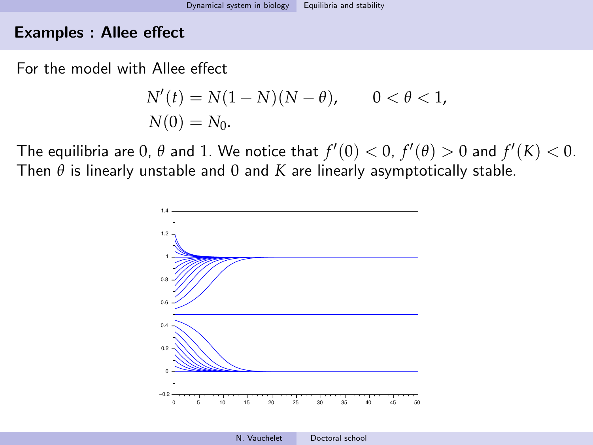#### Examples : Allee effect

For the model with Allee effect

$$
N'(t) = N(1 - N)(N - \theta), \qquad 0 < \theta < 1,
$$
  
 
$$
N(0) = N_0.
$$

The equilibria are 0,  $\theta$  and 1. We notice that  $f'(0) < 0$ ,  $f'(\theta) > 0$  and  $f'(K) < 0$ . Then  $\theta$  is linearly unstable and 0 and *K* are linearly asymptotically stable.

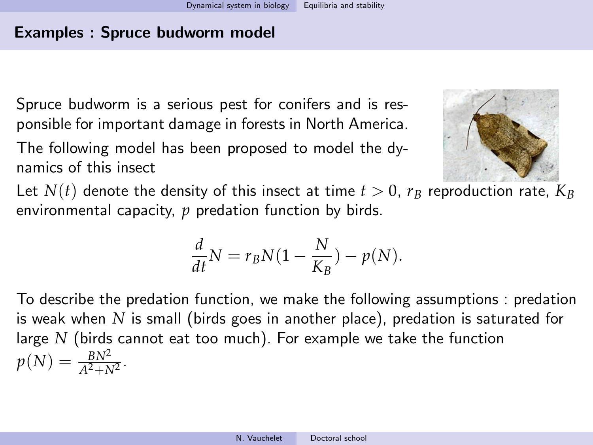Spruce budworm is a serious pest for conifers and is responsible for important damage in forests in North America.

The following model has been proposed to model the dynamics of this insect



Let  $N(t)$  denote the density of this insect at time  $t > 0$ ,  $r_B$  reproduction rate,  $K_B$ environmental capacity, *p* predation function by birds.

$$
\frac{d}{dt}N = r_B N(1 - \frac{N}{K_B}) - p(N).
$$

To describe the predation function, we make the following assumptions : predation is weak when *N* is small (birds goes in another place), predation is saturated for large *N* (birds cannot eat too much). For example we take the function  $p(N) = \frac{BN^2}{A^2 + N^2}$ .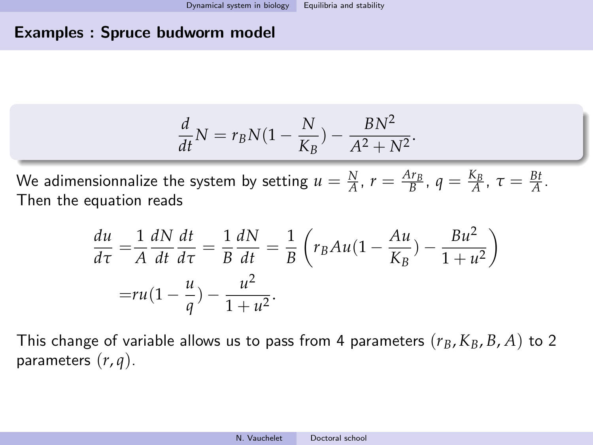$$
\frac{d}{dt}N = r_B N(1 - \frac{N}{K_B}) - \frac{BN^2}{A^2 + N^2}.
$$

We adimensionnalize the system by setting  $u = \frac{N}{A}$ ,  $r = \frac{Ar_B}{B}$ ,  $q = \frac{K_B}{A}$ ,  $\tau = \frac{Bt}{A}$ . Then the equation reads

$$
\frac{du}{d\tau} = \frac{1}{A} \frac{dN}{dt} \frac{dt}{d\tau} = \frac{1}{B} \frac{dN}{dt} = \frac{1}{B} \left( r_B A u (1 - \frac{Au}{K_B}) - \frac{B u^2}{1 + u^2} \right)
$$

$$
= r u (1 - \frac{u}{q}) - \frac{u^2}{1 + u^2}.
$$

This change of variable allows us to pass from 4 parameters  $(r_B, K_B, B, A)$  to 2 parameters (*r*, *q*).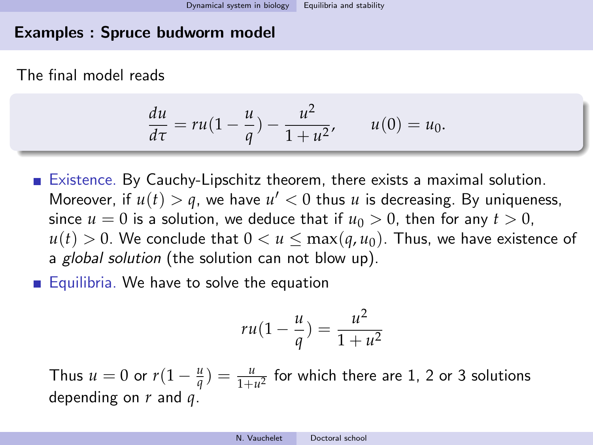The final model reads

$$
\frac{du}{d\tau} = ru(1 - \frac{u}{q}) - \frac{u^2}{1 + u^2}, \qquad u(0) = u_0.
$$

- Existence. By Cauchy-Lipschitz theorem, there exists a maximal solution. Moreover, if  $u(t) > q$ , we have  $u' < 0$  thus  $u$  is decreasing. By uniqueness, since  $u = 0$  is a solution, we deduce that if  $u_0 > 0$ , then for any  $t > 0$ ,  $u(t) > 0$ . We conclude that  $0 < u \leq \max(q, u_0)$ . Thus, we have existence of a global solution (the solution can not blow up).
- $\blacksquare$  Equilibria. We have to solve the equation

$$
ru(1-\frac{u}{q})=\frac{u^2}{1+u^2}
$$

Thus  $u = 0$  or  $r(1 - \frac{u}{q}) = \frac{u}{1 + u^2}$  for which there are 1, 2 or 3 solutions depending on *r* and *q*.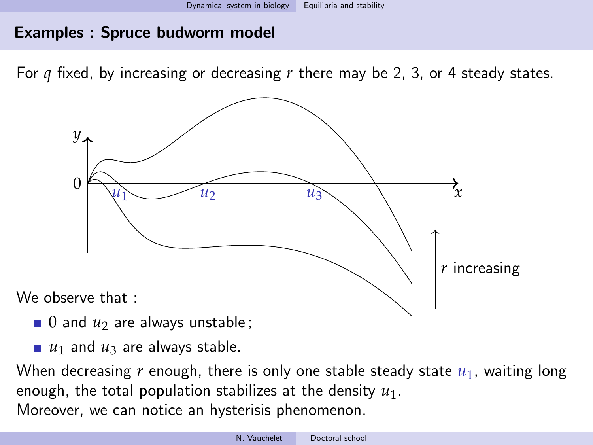For *q* fixed, by increasing or decreasing *r* there may be 2, 3, or 4 steady states.



- $\Box$  0 and  $u_2$  are always unstable;
- $\blacksquare$  *u*<sub>1</sub> and *u*<sub>3</sub> are always stable.

When decreasing  $r$  enough, there is only one stable steady state  $u_1$ , waiting long enough, the total population stabilizes at the density *u*1. Moreover, we can notice an hysterisis phenomenon.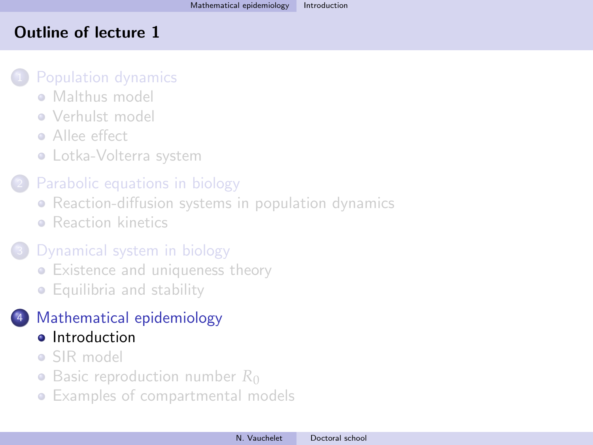## <span id="page-81-0"></span>Outline of lecture 1

#### [Population dynamics](#page-5-0)

- [Malthus model](#page-7-0)
- **[Verhulst model](#page-17-0)**
- **Allee** effect
- [Lotka-Volterra system](#page-30-0)

# [Parabolic equations in biology](#page-36-0)

- [Reaction-diffusion systems in population dynamics](#page-36-0)
- **[Reaction kinetics](#page-44-0)**

# [Dynamical system in biology](#page-57-0)

- [Existence and uniqueness theory](#page-57-0)
- [Equilibria and stability](#page-67-0)

# <sup>4</sup> [Mathematical epidemiology](#page-81-0)

- **o** [Introduction](#page-81-0)
- [SIR model](#page-83-0)
- [Basic reproduction number](#page-91-0) R<sub>0</sub>
- [Examples of compartmental models](#page-102-0)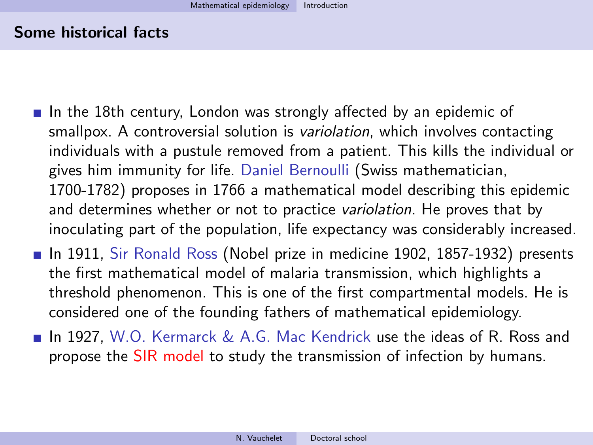#### Some historical facts

- In the 18th century, London was strongly affected by an epidemic of smallpox. A controversial solution is *variolation*, which involves contacting individuals with a pustule removed from a patient. This kills the individual or gives him immunity for life. Daniel Bernoulli (Swiss mathematician, 1700-1782) proposes in 1766 a mathematical model describing this epidemic and determines whether or not to practice *variolation*. He proves that by inoculating part of the population, life expectancy was considerably increased.
- In 1911, Sir Ronald Ross (Nobel prize in medicine 1902, 1857-1932) presents the first mathematical model of malaria transmission, which highlights a threshold phenomenon. This is one of the first compartmental models. He is considered one of the founding fathers of mathematical epidemiology.
- $\blacksquare$  In 1927, W.O. Kermarck & A.G. Mac Kendrick use the ideas of R. Ross and propose the SIR model to study the transmission of infection by humans.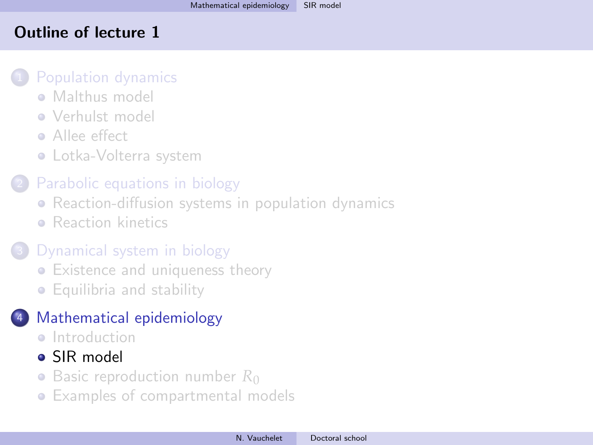## <span id="page-83-0"></span>Outline of lecture 1

#### [Population dynamics](#page-5-0)

- [Malthus model](#page-7-0)
- **[Verhulst model](#page-17-0)**
- **Allee** effect
- [Lotka-Volterra system](#page-30-0)

## [Parabolic equations in biology](#page-36-0)

- [Reaction-diffusion systems in population dynamics](#page-36-0)
- **[Reaction kinetics](#page-44-0)**

# [Dynamical system in biology](#page-57-0)

- [Existence and uniqueness theory](#page-57-0)
- [Equilibria and stability](#page-67-0)

# <sup>4</sup> [Mathematical epidemiology](#page-81-0)

- **a** [Introduction](#page-81-0)
- [SIR model](#page-83-0)
- [Basic reproduction number](#page-91-0) R<sub>0</sub>
- [Examples of compartmental models](#page-102-0)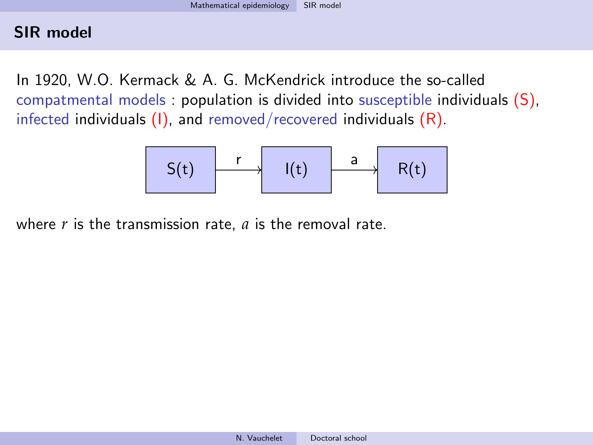In 1920, W.O. Kermack & A. G. McKendrick introduce the so-called compatmental models : population is divided into susceptible individuals (S), infected individuals  $(I)$ , and removed/recovered individuals  $(R)$ .

$$
S(t) \qquad \qquad I(t) \qquad \qquad a \qquad R(t)
$$

where *r* is the transmission rate, *a* is the removal rate.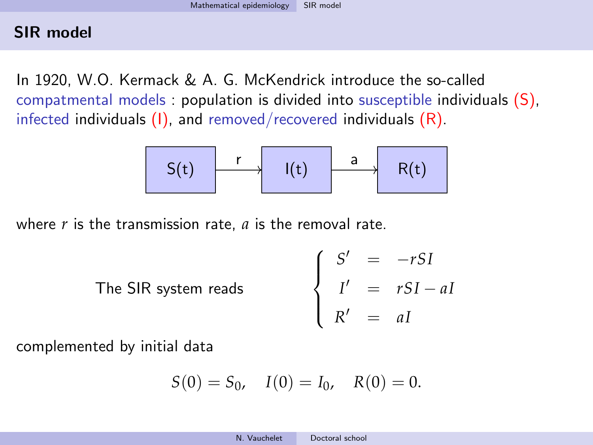In 1920, W.O. Kermack & A. G. McKendrick introduce the so-called compatmental models : population is divided into susceptible individuals (S), infected individuals  $(I)$ , and removed/recovered individuals  $(R)$ .

$$
S(t) \qquad \qquad I(t) \qquad \qquad \frac{a}{R(t)}
$$

where *r* is the transmission rate, *a* is the removal rate.

The SIR system reads 
$$
\begin{cases}\nS' = -rSI \\
I' = rSI - aI \\
R' = aI\n\end{cases}
$$

complemented by initial data

$$
S(0) = S_0, \quad I(0) = I_0, \quad R(0) = 0.
$$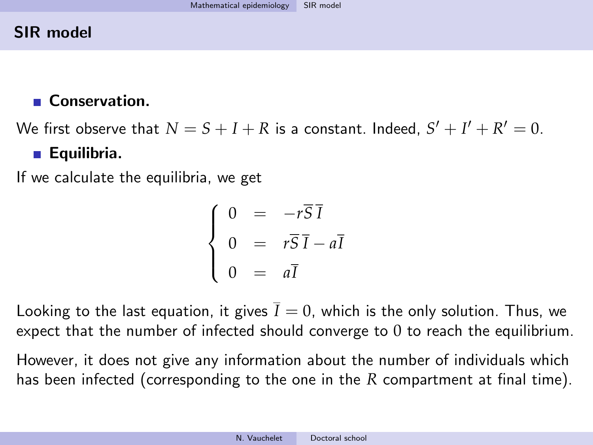# ■ Conservation.

We first observe that  $N = S + I + R$  is a constant. Indeed,  $S' + I' + R' = 0$ .

## **Equilibria.**

If we calculate the equilibria, we get

$$
\begin{cases}\n0 &= -r\overline{S}\,\overline{I} \\
0 &= r\overline{S}\,\overline{I} - a\overline{I} \\
0 &= a\overline{I}\n\end{cases}
$$

Looking to the last equation, it gives  $\overline{I} = 0$ , which is the only solution. Thus, we expect that the number of infected should converge to 0 to reach the equilibrium.

However, it does not give any information about the number of individuals which has been infected (corresponding to the one in the *R* compartment at final time).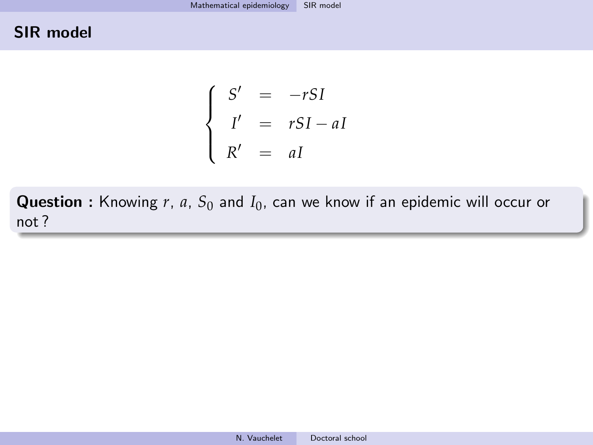$$
\begin{cases}\nS' &= -rSI \\
I' &= rSI - aI \\
R' &= aI\n\end{cases}
$$

Question : Knowing r, a, S<sub>0</sub> and I<sub>0</sub>, can we know if an epidemic will occur or not ?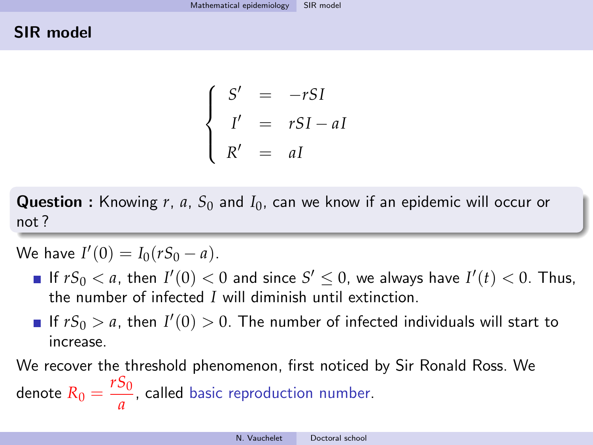$$
\begin{cases}\nS' &= -rSI \\
I' &= rSI - aI \\
R' &= aI\n\end{cases}
$$

Question : Knowing *r*, *a*, *S*<sup>0</sup> and *I*0, can we know if an epidemic will occur or not ?

We have  $I'(0) = I_0(rS_0 - a)$ .

- If  $rS_0 < a$ , then  $I'(0) < 0$  and since  $S' \le 0$ , we always have  $I'(t) < 0$ . Thus, the number of infected *I* will diminish until extinction.
- If  $rS_0 > a$ , then  $I'(0) > 0$ . The number of infected individuals will start to increase.

We recover the threshold phenomenon, first noticed by Sir Ronald Ross. We denote  $R_0 = \frac{rS_0}{a}$  $\frac{\partial u}{\partial a}$ , called basic reproduction number.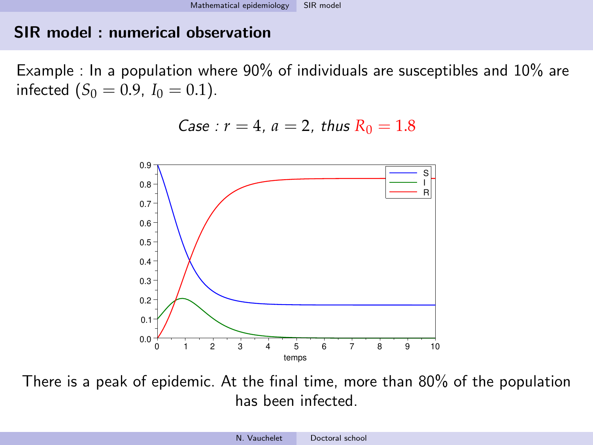## SIR model : numerical observation

Example : In a population where 90% of individuals are susceptibles and 10% are infected  $(S_0 = 0.9, I_0 = 0.1)$ .

Case : 
$$
r = 4
$$
,  $a = 2$ , thus  $R_0 = 1.8$ 



There is a peak of epidemic. At the final time, more than 80% of the population has been infected.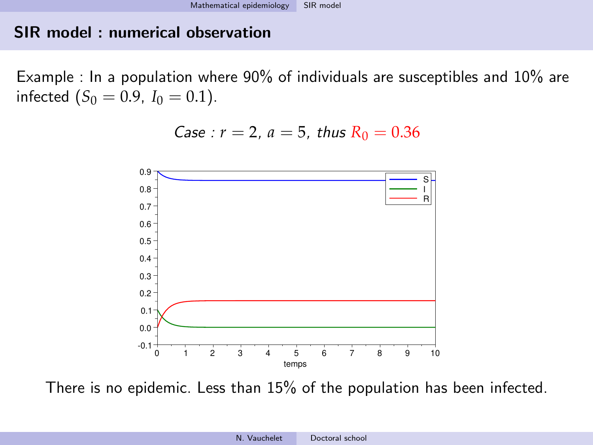### SIR model : numerical observation

Example : In a population where 90% of individuals are susceptibles and 10% are infected  $(S_0 = 0.9, I_0 = 0.1)$ .

Case : 
$$
r = 2
$$
,  $a = 5$ , thus  $R_0 = 0.36$ 



There is no epidemic. Less than 15% of the population has been infected.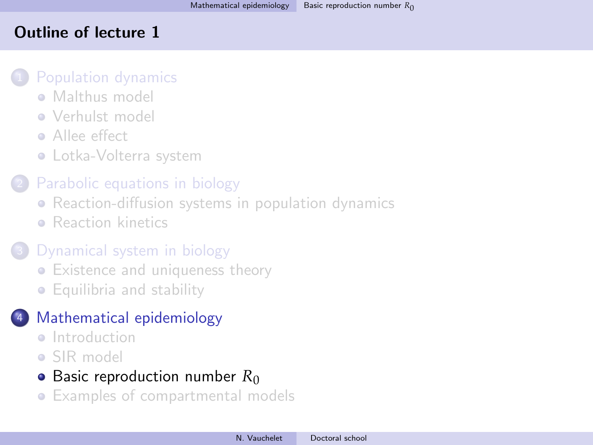## <span id="page-91-0"></span>Outline of lecture 1

#### [Population dynamics](#page-5-0)

- **[Malthus model](#page-7-0)**
- **[Verhulst model](#page-17-0)**
- **•** [Allee effect](#page-26-0)
- [Lotka-Volterra system](#page-30-0)

## [Parabolic equations in biology](#page-36-0)

- [Reaction-diffusion systems in population dynamics](#page-36-0)
- **[Reaction kinetics](#page-44-0)**

# [Dynamical system in biology](#page-57-0)

- [Existence and uniqueness theory](#page-57-0)
- [Equilibria and stability](#page-67-0)

# <sup>4</sup> [Mathematical epidemiology](#page-81-0)

- **a** [Introduction](#page-81-0)
- [SIR model](#page-83-0)

## • [Basic reproduction number](#page-91-0)  $R_0$

[Examples of compartmental models](#page-102-0)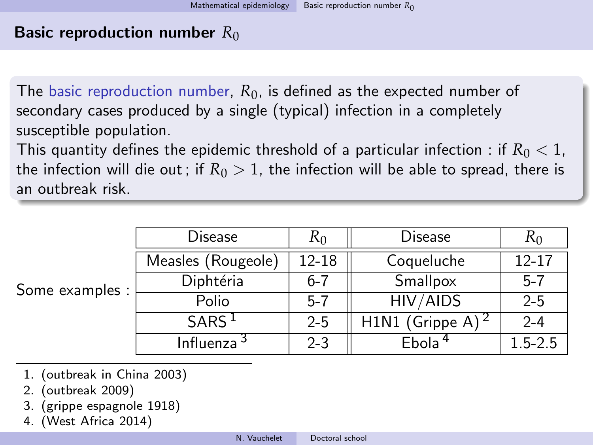The basic reproduction number, *R*0, is defined as the expected number of secondary cases produced by a single (typical) infection in a completely susceptible population.

This quantity defines the epidemic threshold of a particular infection : if  $R_0 < 1$ , the infection will die out; if  $R_0 > 1$ , the infection will be able to spread, there is an outbreak risk.

| Some examples : | Disease                | K <sub>0</sub> | Disease                      | K0          |
|-----------------|------------------------|----------------|------------------------------|-------------|
|                 | Measles (Rougeole)     | 12-18          | Coqueluche                   | $12 - 17$   |
|                 | Diphtéria              | $6-7$          | Smallpox                     | $5 - 7$     |
|                 | Polio                  | $5 - 7$        | HIV/AIDS                     | $2 - 5$     |
|                 | SARS <sup>1</sup>      | $2 - 5$        | H1N1 (Grippe A) <sup>2</sup> | $2 - 4$     |
|                 | Influenza <sup>3</sup> | $2 - 3$        | Ebola <sup>4</sup>           | $1.5 - 2.5$ |

- 1. (outbreak in China 2003)
- 2. (outbreak 2009)
- 3. (grippe espagnole 1918)
- 4. (West Africa 2014)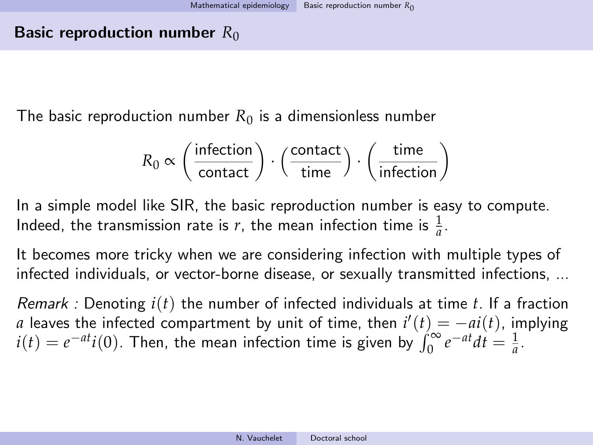The basic reproduction number  $R_0$  is a dimensionless number

$$
R_0 \propto \left(\frac{\text{infection}}{\text{contact}}\right) \cdot \left(\frac{\text{contact}}{\text{time}}\right) \cdot \left(\frac{\text{time}}{\text{infection}}\right)
$$

In a simple model like SIR, the basic reproduction number is easy to compute. Indeed, the transmission rate is *r*, the mean infection time is  $\frac{1}{a}$ .

It becomes more tricky when we are considering infection with multiple types of infected individuals, or vector-borne disease, or sexually transmitted infections, ...

Remark : Denoting *i*(*t*) the number of infected individuals at time *t*. If a fraction *a* leaves the infected compartment by unit of time, then  $i'(t) = -ai(t)$ , implying  $i(t) = e^{-at}i(0)$ . Then, the mean infection time is given by  $\int_0^{\infty} e^{-at}dt = \frac{1}{a}$ .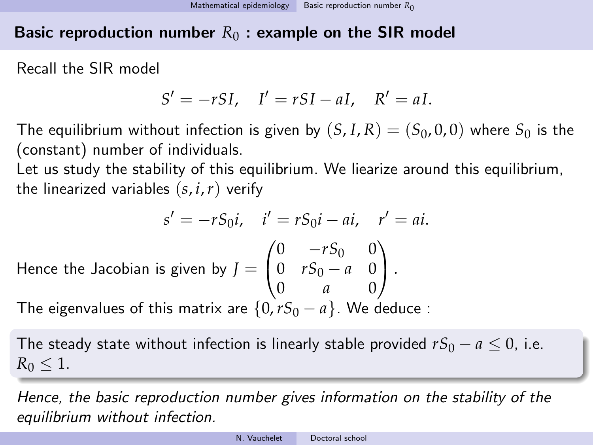## Basic reproduction number  $R_0$ : example on the SIR model

Recall the SIR model

$$
S' = -rSI, \quad I' = rSI - aI, \quad R' = aI.
$$

The equilibrium without infection is given by  $(S, I, R) = (S_0, 0, 0)$  where  $S_0$  is the (constant) number of individuals.

Let us study the stability of this equilibrium. We liearize around this equilibrium, the linearized variables  $(s, i, r)$  verify

$$
s' = -rS_0i
$$
,  $i' = rS_0i - ai$ ,  $r' = ai$ .

Hence the Jacobian is given by  $J=$  $\sqrt{ }$  $\overline{1}$ 0  $-rS_0$  0 0 *rS*<sup>0</sup> − *a* 0 0 *a* 0  $\setminus$  $\vert \cdot$ 

The eigenvalues of this matrix are  $\{0, rS_0 - a\}$ . We deduce :

The steady state without infection is linearly stable provided  $rS_0 - a \leq 0$ , i.e.  $R_0 \leq 1$ .

Hence, the basic reproduction number gives information on the stability of the equilibrium without infection.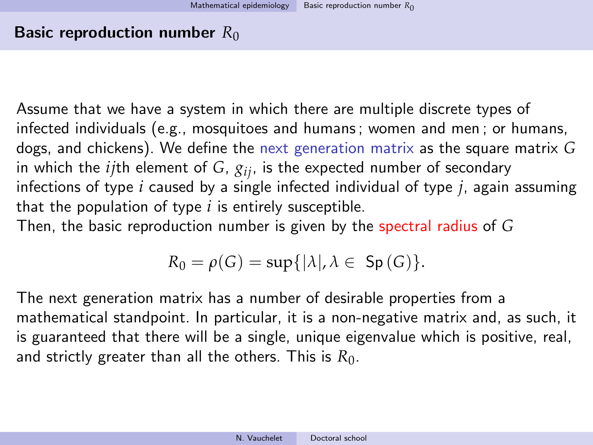Assume that we have a system in which there are multiple discrete types of infected individuals (e.g., mosquitoes and humans ; women and men ; or humans, dogs, and chickens). We define the next generation matrix as the square matrix *G* in which the  $ij$ <sup>th</sup> element of  $G$ ,  $g_{ij}$ , is the expected number of secondary infections of type *i* caused by a single infected individual of type *j*, again assuming that the population of type *i* is entirely susceptible.

Then, the basic reproduction number is given by the spectral radius of *G*

$$
R_0 = \rho(G) = \sup\{|\lambda|, \lambda \in \mathsf{Sp}(G)\}.
$$

The next generation matrix has a number of desirable properties from a mathematical standpoint. In particular, it is a non-negative matrix and, as such, it is guaranteed that there will be a single, unique eigenvalue which is positive, real, and strictly greater than all the others. This is  $R_0$ .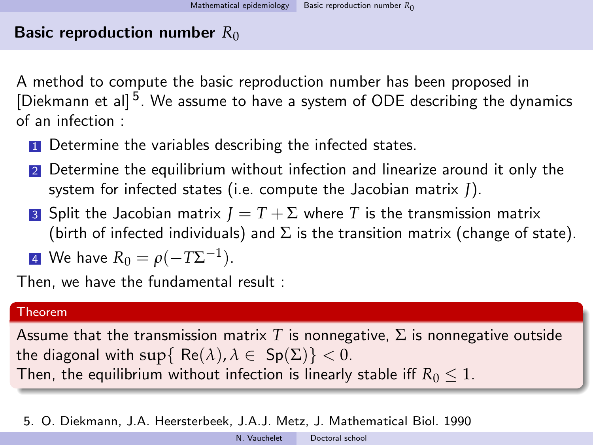A method to compute the basic reproduction number has been proposed in [Diekmann et al]<sup>5</sup>. We assume to have a system of ODE describing the dynamics of an infection :

- **1** Determine the variables describing the infected states.
- <sup>2</sup> Determine the equilibrium without infection and linearize around it only the system for infected states (i.e. compute the Jacobian matrix *J*).
- **3** Split the Jacobian matrix  $I = T + \Sigma$  where *T* is the transmission matrix (birth of infected individuals) and  $\Sigma$  is the transition matrix (change of state).

4 We have 
$$
R_0 = \rho(-T\Sigma^{-1}).
$$

Then, we have the fundamental result :

#### Theorem

Assume that the transmission matrix *T* is nonnegative,  $\Sigma$  is nonnegative outside the diagonal with  $\sup\{Re(\lambda), \lambda \in Sp(\Sigma)\} < 0$ . Then, the equilibrium without infection is linearly stable iff  $R_0 \leq 1$ .

5. O. Diekmann, J.A. Heersterbeek, J.A.J. Metz, J. Mathematical Biol. 1990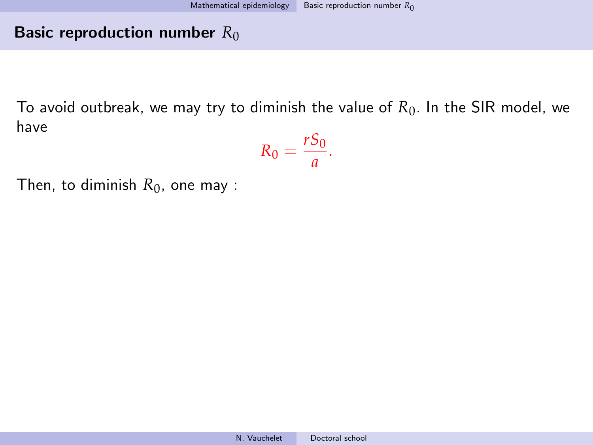To avoid outbreak, we may try to diminish the value of  $R_0$ . In the SIR model, we have  $\overline{C}$ 

$$
R_0=\frac{r s_0}{a}.
$$

Then, to diminish  $R_0$ , one may :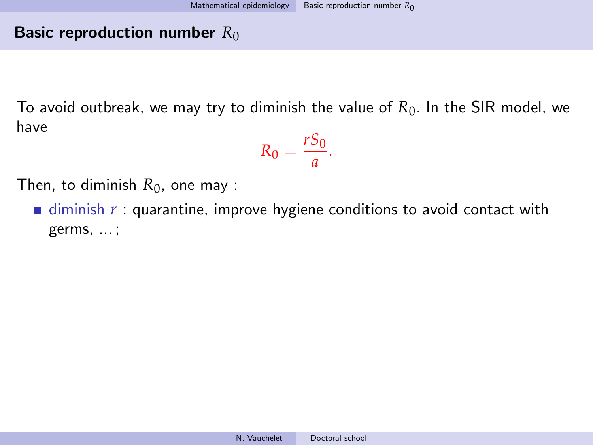To avoid outbreak, we may try to diminish the value of  $R_0$ . In the SIR model, we have

$$
R_0=\frac{rS_0}{a}.
$$

Then, to diminish  $R_0$ , one may :

 $\blacksquare$  diminish  $r$  : quarantine, improve hygiene conditions to avoid contact with germs, ... ;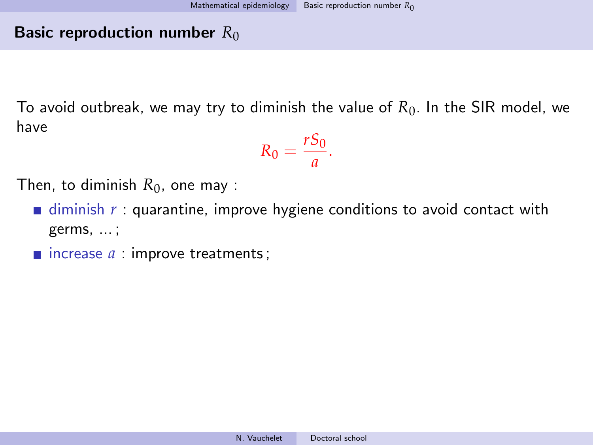To avoid outbreak, we may try to diminish the value of *R*0. In the SIR model, we have *rS*<sup>0</sup>

$$
R_0=\frac{r s_0}{a}.
$$

Then, to diminish  $R_0$ , one may :

- $\blacksquare$  diminish  $r :$  quarantine, improve hygiene conditions to avoid contact with germs, ... ;
- $\blacksquare$  increase  $a$  : improve treatments;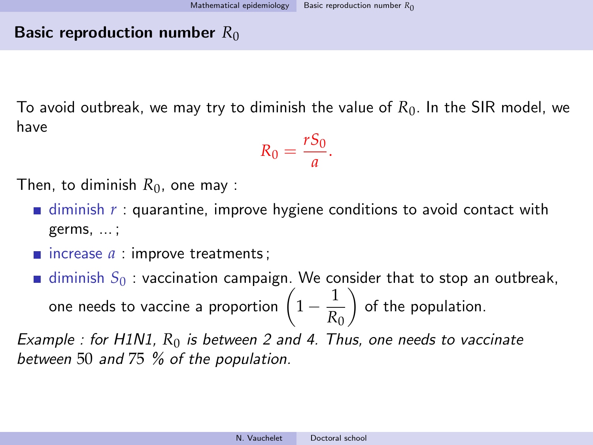To avoid outbreak, we may try to diminish the value of  $R_0$ . In the SIR model, we have *rS*<sup>0</sup>

$$
R_0=\frac{r s_0}{a}.
$$

Then, to diminish  $R_0$ , one may :

- $\blacksquare$  diminish  $r :$  quarantine, improve hygiene conditions to avoid contact with germs, ... ;
- $\blacksquare$  increase  $a$  : improve treatments;

diminish  $S_0$ : vaccination campaign. We consider that to stop an outbreak, one needs to vaccine a proportion  $\left(1-\frac{1}{p}\right)$ *R*0 of the population.

Example : for H1N1,  $R_0$  is between 2 and 4. Thus, one needs to vaccinate between 50 and 75 % of the population.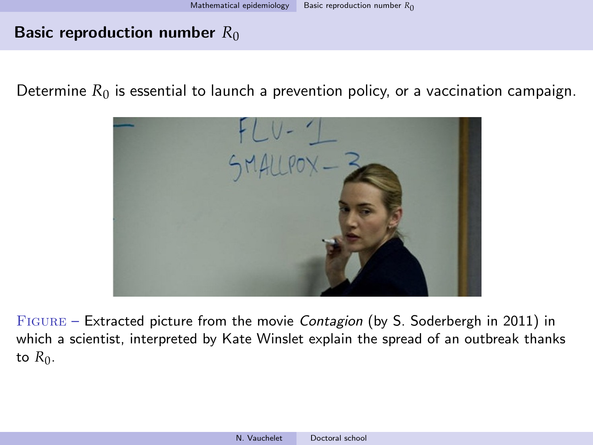Determine  $R_0$  is essential to launch a prevention policy, or a vaccination campaign.



Figure – Extracted picture from the movie Contagion (by S. Soderbergh in 2011) in which a scientist, interpreted by Kate Winslet explain the spread of an outbreak thanks to  $R_0$ .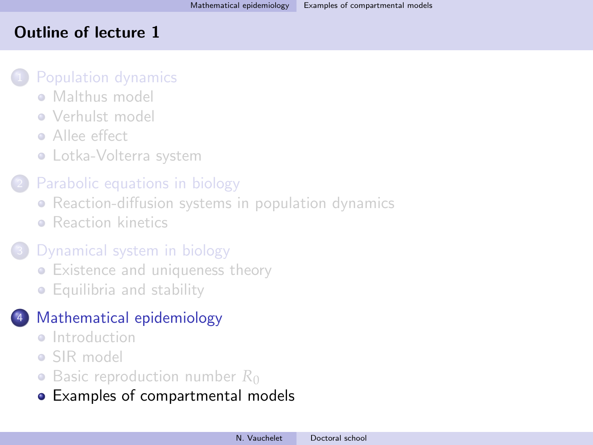## <span id="page-102-0"></span>Outline of lecture 1

#### [Population dynamics](#page-5-0)

- **[Malthus model](#page-7-0)**
- **[Verhulst model](#page-17-0)**
- **Allee** effect
- [Lotka-Volterra system](#page-30-0)

## [Parabolic equations in biology](#page-36-0)

- [Reaction-diffusion systems in population dynamics](#page-36-0)
- **[Reaction kinetics](#page-44-0)**

# [Dynamical system in biology](#page-57-0)

- [Existence and uniqueness theory](#page-57-0)
- [Equilibria and stability](#page-67-0)

# <sup>4</sup> [Mathematical epidemiology](#page-81-0)

- **a** [Introduction](#page-81-0)
- [SIR model](#page-83-0)
- [Basic reproduction number](#page-91-0) R<sub>0</sub>
- [Examples of compartmental models](#page-102-0)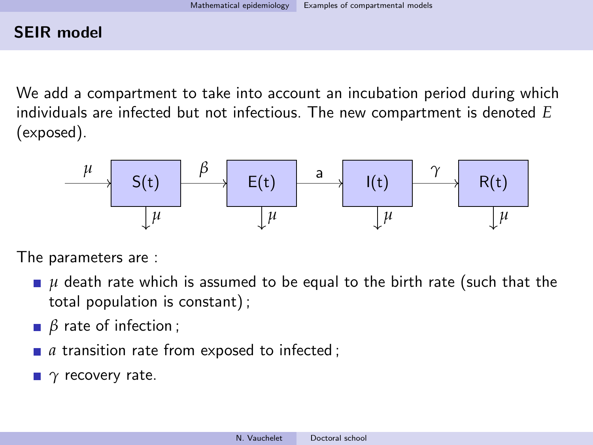We add a compartment to take into account an incubation period during which individuals are infected but not infectious. The new compartment is denoted *E* (exposed).

| $\mu$ | $S(t)$ | $\beta$ | $E(t)$ | a | $I(t)$ | $\gamma$ | $R(t)$ |
|-------|--------|---------|--------|---|--------|----------|--------|
| $\mu$ | $\mu$  | $\mu$   | $\mu$  |   |        |          |        |

The parameters are :

- **■** *µ* death rate which is assumed to be equal to the birth rate (such that the total population is constant) ;
- *β* rate of infection ;
- *a* transition rate from exposed to infected;
- *γ* recovery rate.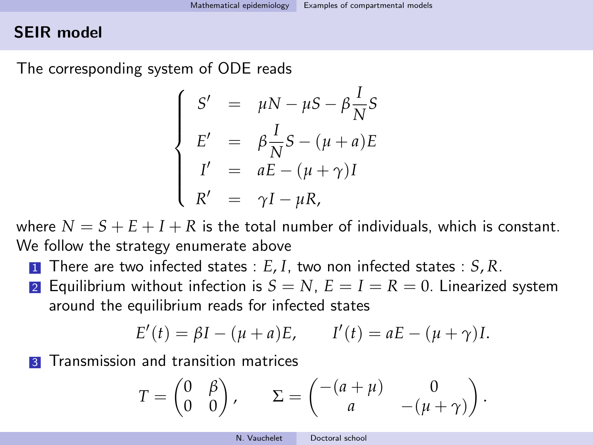The corresponding system of ODE reads

$$
\begin{cases}\nS' = \mu N - \mu S - \beta \frac{I}{N} S \\
E' = \beta \frac{I}{N} S - (\mu + a) E \\
I' = aE - (\mu + \gamma) I \\
R' = \gamma I - \mu R,\n\end{cases}
$$

where  $N = S + E + I + R$  is the total number of individuals, which is constant. We follow the strategy enumerate above

- <sup>1</sup> There are two infected states : *E*, *I*, two non infected states : *S*, *R*.
- **2** Equilibrium without infection is  $S = N$ ,  $E = I = R = 0$ . Linearized system around the equilibrium reads for infected states

$$
E'(t) = \beta I - (\mu + a)E
$$
,  $I'(t) = aE - (\mu + \gamma)I$ .

**3** Transmission and transition matrices

$$
T = \begin{pmatrix} 0 & \beta \\ 0 & 0 \end{pmatrix}, \qquad \Sigma = \begin{pmatrix} -(a + \mu) & 0 \\ a & -( \mu + \gamma) \end{pmatrix}.
$$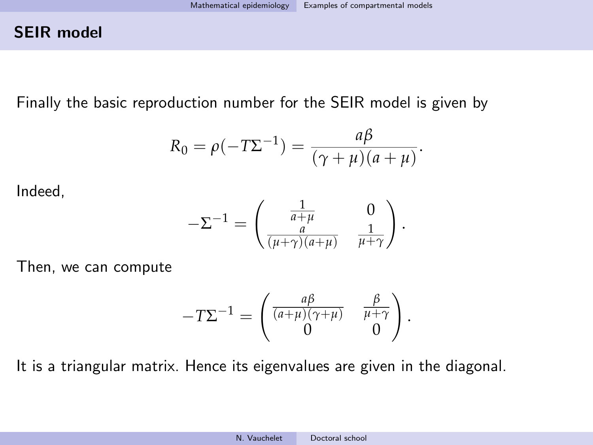Finally the basic reproduction number for the SEIR model is given by

$$
R_0 = \rho(-T\Sigma^{-1}) = \frac{a\beta}{(\gamma + \mu)(a + \mu)}.
$$

Indeed,

$$
-\Sigma^{-1} = \begin{pmatrix} \frac{1}{a+\mu} & 0\\ \frac{a}{(\mu+\gamma)(a+\mu)} & \frac{1}{\mu+\gamma} \end{pmatrix}.
$$

Then, we can compute

$$
-T\Sigma^{-1} = \begin{pmatrix} \frac{a\beta}{(a+\mu)(\gamma+\mu)} & \frac{\beta}{\mu+\gamma} \\ 0 & 0 \end{pmatrix}.
$$

It is a triangular matrix. Hence its eigenvalues are given in the diagonal.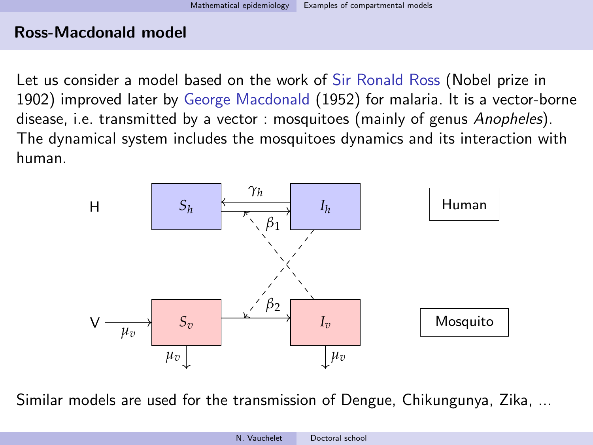## Ross-Macdonald model

Let us consider a model based on the work of Sir Ronald Ross (Nobel prize in 1902) improved later by George Macdonald (1952) for malaria. It is a vector-borne disease, i.e. transmitted by a vector : mosquitoes (mainly of genus Anopheles). The dynamical system includes the mosquitoes dynamics and its interaction with human.



Similar models are used for the transmission of Dengue, Chikungunya, Zika, ...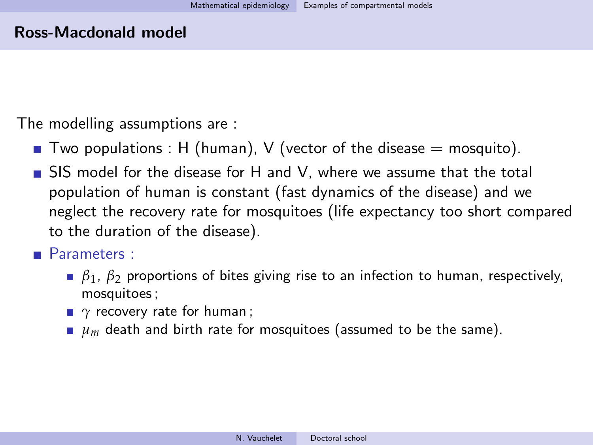#### Ross-Macdonald model

The modelling assumptions are :

- **T** Two populations : H (human), V (vector of the disease  $=$  mosquito).
- SIS model for the disease for H and V, where we assume that the total population of human is constant (fast dynamics of the disease) and we neglect the recovery rate for mosquitoes (life expectancy too short compared to the duration of the disease).

## **Parameters** :

- *β*1 , *β*<sup>2</sup> proportions of bites giving rise to an infection to human, respectively, mosquitoes ;
- *γ* recovery rate for human ;
- $\mu$ <sub>*m*</sub> death and birth rate for mosquitoes (assumed to be the same).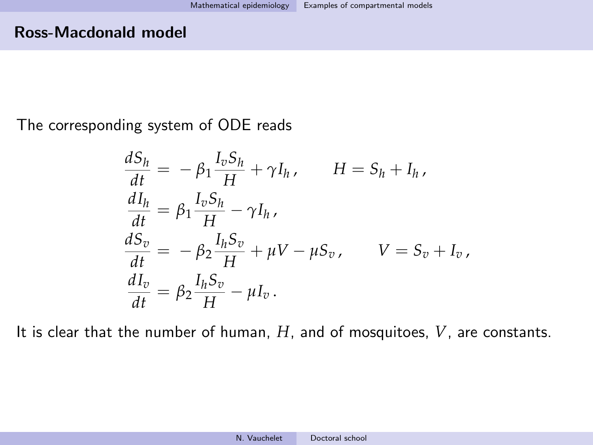## Ross-Macdonald model

The corresponding system of ODE reads

$$
\frac{dS_h}{dt} = -\beta_1 \frac{I_v S_h}{H} + \gamma I_h, \qquad H = S_h + I_h,
$$
\n
$$
\frac{dI_h}{dt} = \beta_1 \frac{I_v S_h}{H} - \gamma I_h,
$$
\n
$$
\frac{dS_v}{dt} = -\beta_2 \frac{I_h S_v}{H} + \mu V - \mu S_v, \qquad V = S_v + I_v,
$$
\n
$$
\frac{dI_v}{dt} = \beta_2 \frac{I_h S_v}{H} - \mu I_v.
$$

It is clear that the number of human, *H*, and of mosquitoes, *V*, are constants.